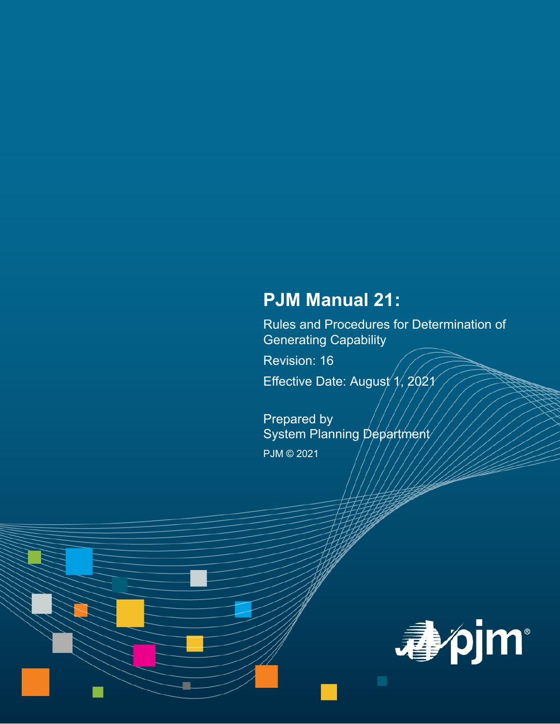# **PJM Manual 21:**

Rules and Procedures for Determination of Generating Capability

Revision: 16 Effective Date: August  $\gamma$ , 202 $\gamma$ 

Prepared by System Planning Department PJM © 2021

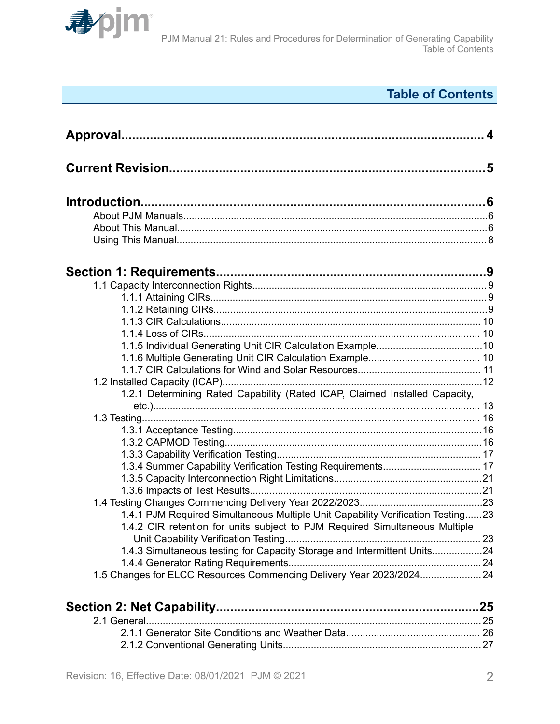

# **Table of Contents**

| 1.2.1 Determining Rated Capability (Rated ICAP, Claimed Installed Capacity,     |  |
|---------------------------------------------------------------------------------|--|
|                                                                                 |  |
|                                                                                 |  |
|                                                                                 |  |
|                                                                                 |  |
|                                                                                 |  |
| 1.3.4 Summer Capability Verification Testing Requirements 17                    |  |
|                                                                                 |  |
|                                                                                 |  |
|                                                                                 |  |
| 1.4.1 PJM Required Simultaneous Multiple Unit Capability Verification Testing23 |  |
| 1.4.2 CIR retention for units subject to PJM Required Simultaneous Multiple     |  |
|                                                                                 |  |
| 1.4.3 Simultaneous testing for Capacity Storage and Intermittent Units24        |  |
|                                                                                 |  |
| 1.5 Changes for ELCC Resources Commencing Delivery Year 2023/202424             |  |
|                                                                                 |  |
|                                                                                 |  |
|                                                                                 |  |
|                                                                                 |  |

[2.1.2 Conventional Generating Units.......................................................................27](#page-26-0)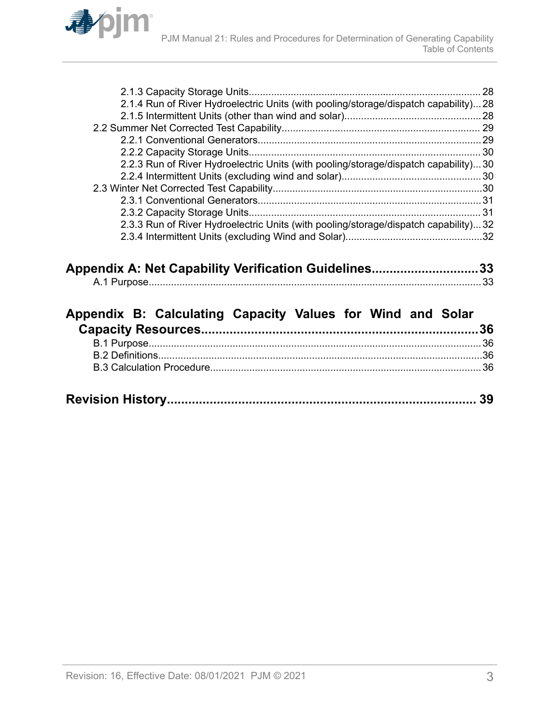

| 2.1.4 Run of River Hydroelectric Units (with pooling/storage/dispatch capability)28 |  |
|-------------------------------------------------------------------------------------|--|
|                                                                                     |  |
|                                                                                     |  |
|                                                                                     |  |
|                                                                                     |  |
| 2.2.3 Run of River Hydroelectric Units (with pooling/storage/dispatch capability)30 |  |
|                                                                                     |  |
|                                                                                     |  |
|                                                                                     |  |
|                                                                                     |  |
| 2.3.3 Run of River Hydroelectric Units (with pooling/storage/dispatch capability)32 |  |
|                                                                                     |  |
|                                                                                     |  |

| Appendix A: Net Capability Verification Guidelines33 |  |
|------------------------------------------------------|--|
|                                                      |  |

| Appendix B: Calculating Capacity Values for Wind and Solar |  |  |  |  |
|------------------------------------------------------------|--|--|--|--|
|                                                            |  |  |  |  |
|                                                            |  |  |  |  |
|                                                            |  |  |  |  |
|                                                            |  |  |  |  |
|                                                            |  |  |  |  |
|                                                            |  |  |  |  |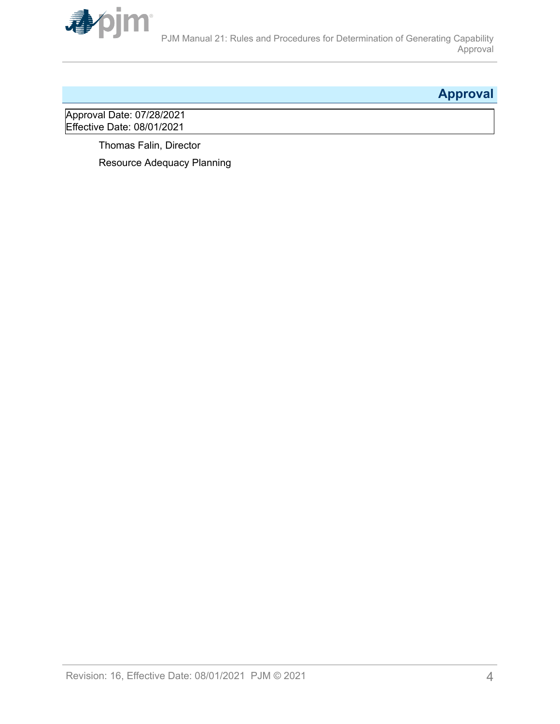<span id="page-3-0"></span>

# **Approval**

Approval Date: 07/28/2021 Effective Date: 08/01/2021

> Thomas Falin, Director Resource Adequacy Planning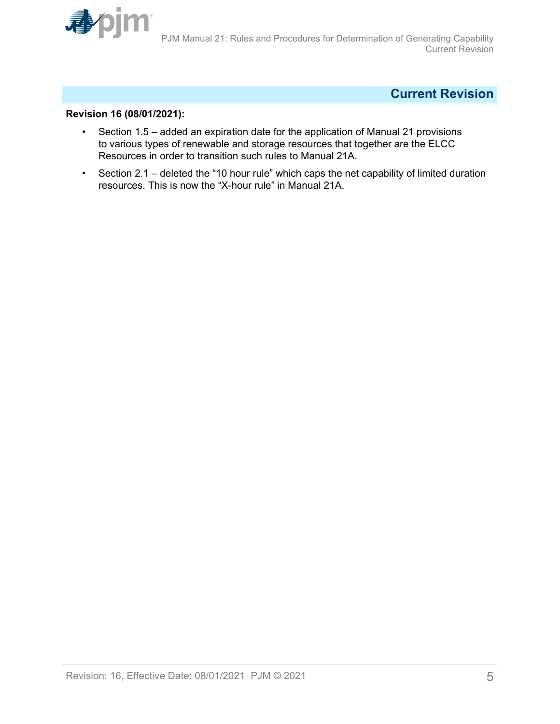<span id="page-4-0"></span>

## **Current Revision**

#### **Revision 16 (08/01/2021):**

- Section 1.5 added an expiration date for the application of Manual 21 provisions to various types of renewable and storage resources that together are the ELCC Resources in order to transition such rules to Manual 21A.
- Section 2.1 deleted the "10 hour rule" which caps the net capability of limited duration resources. This is now the "X-hour rule" in Manual 21A.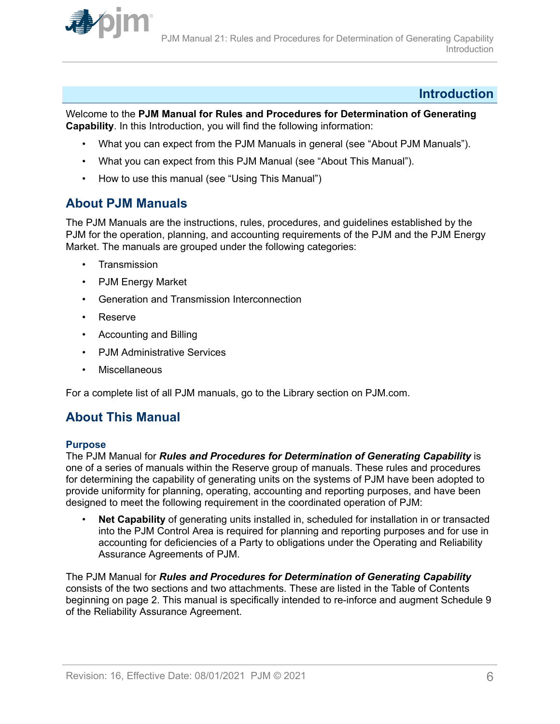<span id="page-5-0"></span>

## **Introduction**

Welcome to the **PJM Manual for Rules and Procedures for Determination of Generating Capability**. In this Introduction, you will find the following information:

- What you can expect from the PJM Manuals in general (see "About PJM Manuals").
- What you can expect from this PJM Manual (see "About This Manual").
- How to use this manual (see "Using This Manual")

## **About PJM Manuals**

The PJM Manuals are the instructions, rules, procedures, and guidelines established by the PJM for the operation, planning, and accounting requirements of the PJM and the PJM Energy Market. The manuals are grouped under the following categories:

- **Transmission**
- PJM Energy Market
- Generation and Transmission Interconnection
- Reserve
- Accounting and Billing
- PJM Administrative Services
- **Miscellaneous**

For a complete list of all PJM manuals, go to the Library section on PJM.com.

## **About This Manual**

#### **Purpose**

The PJM Manual for *Rules and Procedures for Determination of Generating Capability* is one of a series of manuals within the Reserve group of manuals. These rules and procedures for determining the capability of generating units on the systems of PJM have been adopted to provide uniformity for planning, operating, accounting and reporting purposes, and have been designed to meet the following requirement in the coordinated operation of PJM:

• **Net Capability** of generating units installed in, scheduled for installation in or transacted into the PJM Control Area is required for planning and reporting purposes and for use in accounting for deficiencies of a Party to obligations under the Operating and Reliability Assurance Agreements of PJM.

The PJM Manual for *Rules and Procedures for Determination of Generating Capability* consists of the two sections and two attachments. These are listed in the Table of Contents beginning on page 2. This manual is specifically intended to re-inforce and augment Schedule 9 of the Reliability Assurance Agreement.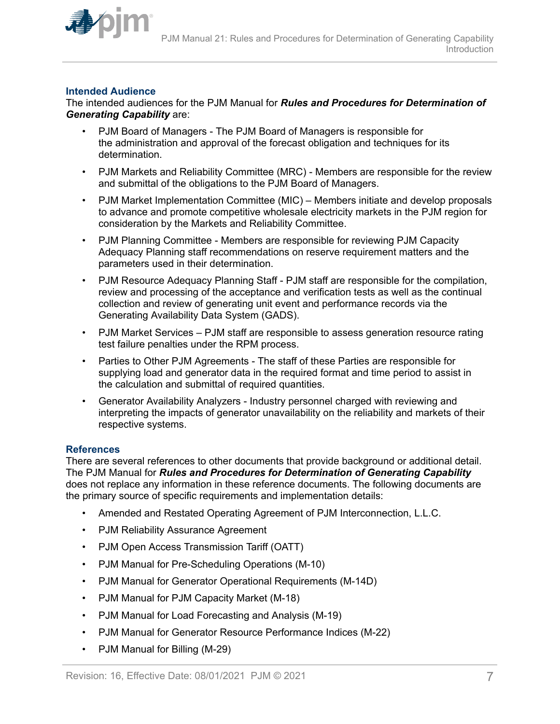

### **Intended Audience**

The intended audiences for the PJM Manual for *Rules and Procedures for Determination of Generating Capability* are:

- PJM Board of Managers The PJM Board of Managers is responsible for the administration and approval of the forecast obligation and techniques for its determination.
- PJM Markets and Reliability Committee (MRC) Members are responsible for the review and submittal of the obligations to the PJM Board of Managers.
- PJM Market Implementation Committee (MIC) Members initiate and develop proposals to advance and promote competitive wholesale electricity markets in the PJM region for consideration by the Markets and Reliability Committee.
- PJM Planning Committee Members are responsible for reviewing PJM Capacity Adequacy Planning staff recommendations on reserve requirement matters and the parameters used in their determination.
- PJM Resource Adequacy Planning Staff PJM staff are responsible for the compilation, review and processing of the acceptance and verification tests as well as the continual collection and review of generating unit event and performance records via the Generating Availability Data System (GADS).
- PJM Market Services PJM staff are responsible to assess generation resource rating test failure penalties under the RPM process.
- Parties to Other PJM Agreements The staff of these Parties are responsible for supplying load and generator data in the required format and time period to assist in the calculation and submittal of required quantities.
- Generator Availability Analyzers Industry personnel charged with reviewing and interpreting the impacts of generator unavailability on the reliability and markets of their respective systems.

#### **References**

There are several references to other documents that provide background or additional detail. The PJM Manual for *Rules and Procedures for Determination of Generating Capability* does not replace any information in these reference documents. The following documents are the primary source of specific requirements and implementation details:

- Amended and Restated Operating Agreement of PJM Interconnection, L.L.C.
- PJM Reliability Assurance Agreement
- PJM Open Access Transmission Tariff (OATT)
- PJM Manual for Pre-Scheduling Operations (M-10)
- PJM Manual for Generator Operational Requirements (M-14D)
- PJM Manual for PJM Capacity Market (M-18)
- PJM Manual for Load Forecasting and Analysis (M-19)
- PJM Manual for Generator Resource Performance Indices (M-22)
- PJM Manual for Billing (M-29)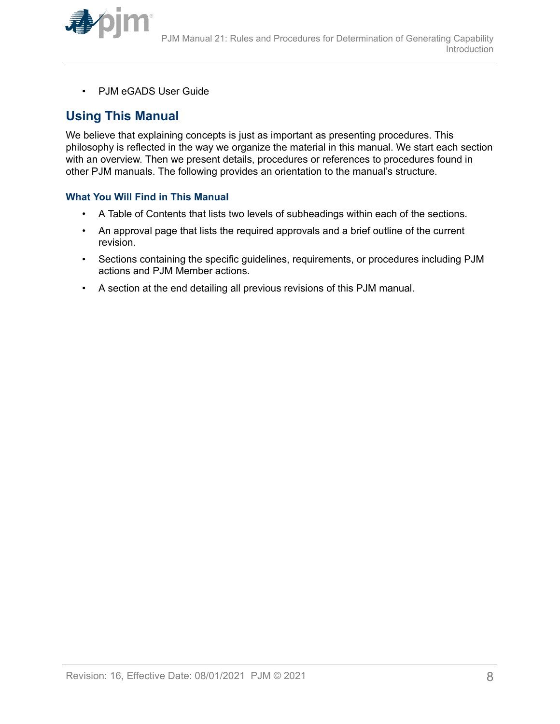<span id="page-7-0"></span>

• PJM eGADS User Guide

## **Using This Manual**

We believe that explaining concepts is just as important as presenting procedures. This philosophy is reflected in the way we organize the material in this manual. We start each section with an overview. Then we present details, procedures or references to procedures found in other PJM manuals. The following provides an orientation to the manual's structure.

### **What You Will Find in This Manual**

- A Table of Contents that lists two levels of subheadings within each of the sections.
- An approval page that lists the required approvals and a brief outline of the current revision.
- Sections containing the specific guidelines, requirements, or procedures including PJM actions and PJM Member actions.
- A section at the end detailing all previous revisions of this PJM manual.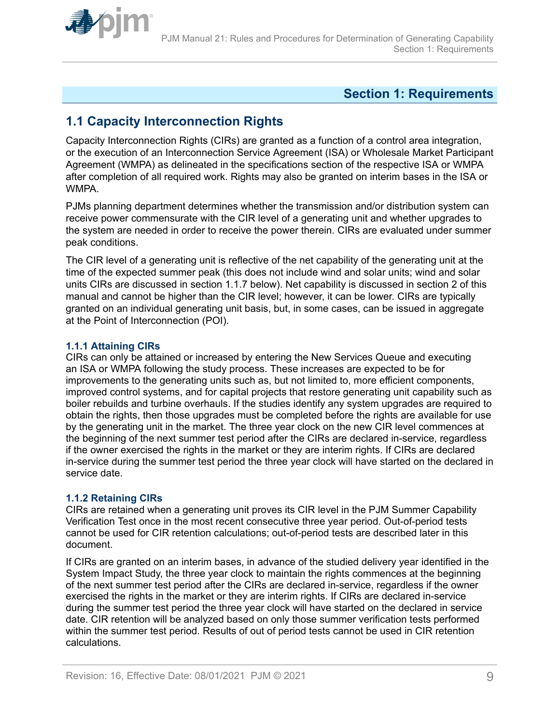<span id="page-8-0"></span>

## **Section 1: Requirements**

## **1.1 Capacity Interconnection Rights**

Capacity Interconnection Rights (CIRs) are granted as a function of a control area integration, or the execution of an Interconnection Service Agreement (ISA) or Wholesale Market Participant Agreement (WMPA) as delineated in the specifications section of the respective ISA or WMPA after completion of all required work. Rights may also be granted on interim bases in the ISA or WMPA.

PJMs planning department determines whether the transmission and/or distribution system can receive power commensurate with the CIR level of a generating unit and whether upgrades to the system are needed in order to receive the power therein. CIRs are evaluated under summer peak conditions.

The CIR level of a generating unit is reflective of the net capability of the generating unit at the time of the expected summer peak (this does not include wind and solar units; wind and solar units CIRs are discussed in section 1.1.7 below). Net capability is discussed in section 2 of this manual and cannot be higher than the CIR level; however, it can be lower. CIRs are typically granted on an individual generating unit basis, but, in some cases, can be issued in aggregate at the Point of Interconnection (POI).

### **1.1.1 Attaining CIRs**

CIRs can only be attained or increased by entering the New Services Queue and executing an ISA or WMPA following the study process. These increases are expected to be for improvements to the generating units such as, but not limited to, more efficient components, improved control systems, and for capital projects that restore generating unit capability such as boiler rebuilds and turbine overhauls. If the studies identify any system upgrades are required to obtain the rights, then those upgrades must be completed before the rights are available for use by the generating unit in the market. The three year clock on the new CIR level commences at the beginning of the next summer test period after the CIRs are declared in-service, regardless if the owner exercised the rights in the market or they are interim rights. If CIRs are declared in-service during the summer test period the three year clock will have started on the declared in service date.

## **1.1.2 Retaining CIRs**

CIRs are retained when a generating unit proves its CIR level in the PJM Summer Capability Verification Test once in the most recent consecutive three year period. Out-of-period tests cannot be used for CIR retention calculations; out-of-period tests are described later in this document.

If CIRs are granted on an interim bases, in advance of the studied delivery year identified in the System Impact Study, the three year clock to maintain the rights commences at the beginning of the next summer test period after the CIRs are declared in-service, regardless if the owner exercised the rights in the market or they are interim rights. If CIRs are declared in-service during the summer test period the three year clock will have started on the declared in service date. CIR retention will be analyzed based on only those summer verification tests performed within the summer test period. Results of out of period tests cannot be used in CIR retention calculations.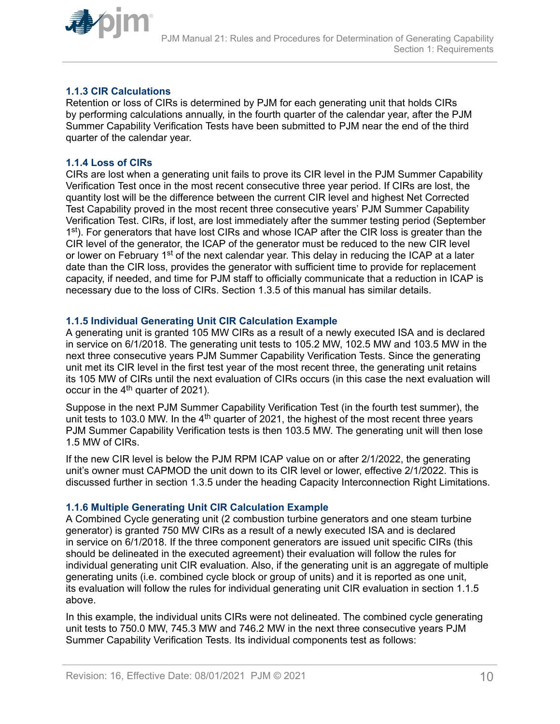<span id="page-9-0"></span>

### **1.1.3 CIR Calculations**

Retention or loss of CIRs is determined by PJM for each generating unit that holds CIRs by performing calculations annually, in the fourth quarter of the calendar year, after the PJM Summer Capability Verification Tests have been submitted to PJM near the end of the third quarter of the calendar year.

### **1.1.4 Loss of CIRs**

CIRs are lost when a generating unit fails to prove its CIR level in the PJM Summer Capability Verification Test once in the most recent consecutive three year period. If CIRs are lost, the quantity lost will be the difference between the current CIR level and highest Net Corrected Test Capability proved in the most recent three consecutive years' PJM Summer Capability Verification Test. CIRs, if lost, are lost immediately after the summer testing period (September 1<sup>st</sup>). For generators that have lost CIRs and whose ICAP after the CIR loss is greater than the CIR level of the generator, the ICAP of the generator must be reduced to the new CIR level or lower on February 1<sup>st</sup> of the next calendar year. This delay in reducing the ICAP at a later date than the CIR loss, provides the generator with sufficient time to provide for replacement capacity, if needed, and time for PJM staff to officially communicate that a reduction in ICAP is necessary due to the loss of CIRs. Section 1.3.5 of this manual has similar details.

#### **1.1.5 Individual Generating Unit CIR Calculation Example**

A generating unit is granted 105 MW CIRs as a result of a newly executed ISA and is declared in service on 6/1/2018. The generating unit tests to 105.2 MW, 102.5 MW and 103.5 MW in the next three consecutive years PJM Summer Capability Verification Tests. Since the generating unit met its CIR level in the first test year of the most recent three, the generating unit retains its 105 MW of CIRs until the next evaluation of CIRs occurs (in this case the next evaluation will occur in the  $4<sup>th</sup>$  quarter of 2021).

Suppose in the next PJM Summer Capability Verification Test (in the fourth test summer), the unit tests to 103.0 MW. In the  $4<sup>th</sup>$  quarter of 2021, the highest of the most recent three years PJM Summer Capability Verification tests is then 103.5 MW. The generating unit will then lose 1.5 MW of CIRs.

If the new CIR level is below the PJM RPM ICAP value on or after 2/1/2022, the generating unit's owner must CAPMOD the unit down to its CIR level or lower, effective 2/1/2022. This is discussed further in section 1.3.5 under the heading Capacity Interconnection Right Limitations.

#### **1.1.6 Multiple Generating Unit CIR Calculation Example**

A Combined Cycle generating unit (2 combustion turbine generators and one steam turbine generator) is granted 750 MW CIRs as a result of a newly executed ISA and is declared in service on 6/1/2018. If the three component generators are issued unit specific CIRs (this should be delineated in the executed agreement) their evaluation will follow the rules for individual generating unit CIR evaluation. Also, if the generating unit is an aggregate of multiple generating units (i.e. combined cycle block or group of units) and it is reported as one unit, its evaluation will follow the rules for individual generating unit CIR evaluation in section 1.1.5 above.

In this example, the individual units CIRs were not delineated. The combined cycle generating unit tests to 750.0 MW, 745.3 MW and 746.2 MW in the next three consecutive years PJM Summer Capability Verification Tests. Its individual components test as follows: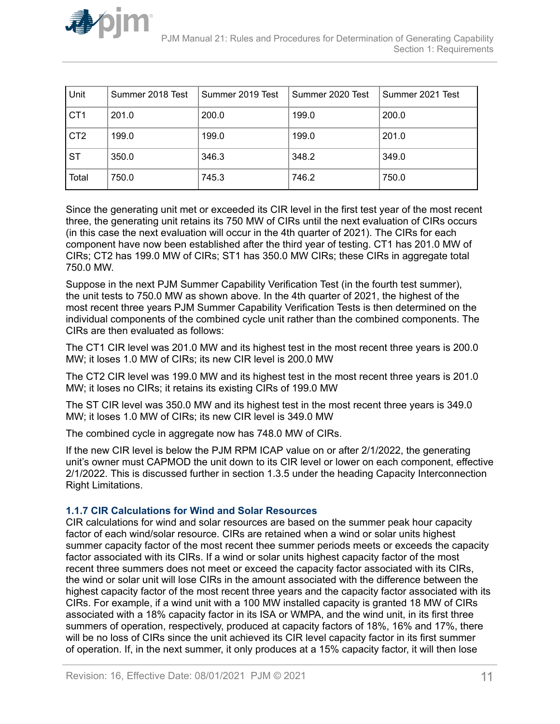<span id="page-10-0"></span>

| Unit            | Summer 2018 Test | Summer 2019 Test | Summer 2020 Test | Summer 2021 Test |
|-----------------|------------------|------------------|------------------|------------------|
| CT <sub>1</sub> | 201.0            | 200.0            | 199.0            | 200.0            |
| CT <sub>2</sub> | 199.0            | 199.0            | 199.0            | 201.0            |
| <b>ST</b>       | 350.0            | 346.3            | 348.2            | 349.0            |
| Total           | 750.0            | 745.3            | 746.2            | 750.0            |

Since the generating unit met or exceeded its CIR level in the first test year of the most recent three, the generating unit retains its 750 MW of CIRs until the next evaluation of CIRs occurs (in this case the next evaluation will occur in the 4th quarter of 2021). The CIRs for each component have now been established after the third year of testing. CT1 has 201.0 MW of CIRs; CT2 has 199.0 MW of CIRs; ST1 has 350.0 MW CIRs; these CIRs in aggregate total 750.0 MW.

Suppose in the next PJM Summer Capability Verification Test (in the fourth test summer), the unit tests to 750.0 MW as shown above. In the 4th quarter of 2021, the highest of the most recent three years PJM Summer Capability Verification Tests is then determined on the individual components of the combined cycle unit rather than the combined components. The CIRs are then evaluated as follows:

The CT1 CIR level was 201.0 MW and its highest test in the most recent three years is 200.0 MW; it loses 1.0 MW of CIRs; its new CIR level is 200.0 MW

The CT2 CIR level was 199.0 MW and its highest test in the most recent three years is 201.0 MW; it loses no CIRs; it retains its existing CIRs of 199.0 MW

The ST CIR level was 350.0 MW and its highest test in the most recent three years is 349.0 MW; it loses 1.0 MW of CIRs; its new CIR level is 349.0 MW

The combined cycle in aggregate now has 748.0 MW of CIRs.

If the new CIR level is below the PJM RPM ICAP value on or after 2/1/2022, the generating unit's owner must CAPMOD the unit down to its CIR level or lower on each component, effective 2/1/2022. This is discussed further in section 1.3.5 under the heading Capacity Interconnection Right Limitations.

#### **1.1.7 CIR Calculations for Wind and Solar Resources**

CIR calculations for wind and solar resources are based on the summer peak hour capacity factor of each wind/solar resource. CIRs are retained when a wind or solar units highest summer capacity factor of the most recent thee summer periods meets or exceeds the capacity factor associated with its CIRs. If a wind or solar units highest capacity factor of the most recent three summers does not meet or exceed the capacity factor associated with its CIRs, the wind or solar unit will lose CIRs in the amount associated with the difference between the highest capacity factor of the most recent three years and the capacity factor associated with its CIRs. For example, if a wind unit with a 100 MW installed capacity is granted 18 MW of CIRs associated with a 18% capacity factor in its ISA or WMPA, and the wind unit, in its first three summers of operation, respectively, produced at capacity factors of 18%, 16% and 17%, there will be no loss of CIRs since the unit achieved its CIR level capacity factor in its first summer of operation. If, in the next summer, it only produces at a 15% capacity factor, it will then lose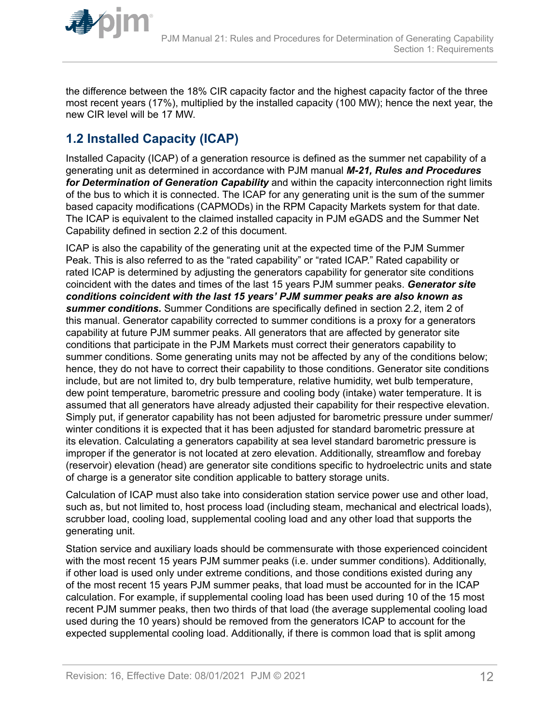<span id="page-11-0"></span>

the difference between the 18% CIR capacity factor and the highest capacity factor of the three most recent years (17%), multiplied by the installed capacity (100 MW); hence the next year, the new CIR level will be 17 MW.

# **1.2 Installed Capacity (ICAP)**

Installed Capacity (ICAP) of a generation resource is defined as the summer net capability of a generating unit as determined in accordance with PJM manual *M-21, Rules and Procedures for Determination of Generation Capability* and within the capacity interconnection right limits of the bus to which it is connected. The ICAP for any generating unit is the sum of the summer based capacity modifications (CAPMODs) in the RPM Capacity Markets system for that date. The ICAP is equivalent to the claimed installed capacity in PJM eGADS and the Summer Net Capability defined in section 2.2 of this document.

ICAP is also the capability of the generating unit at the expected time of the PJM Summer Peak. This is also referred to as the "rated capability" or "rated ICAP." Rated capability or rated ICAP is determined by adjusting the generators capability for generator site conditions coincident with the dates and times of the last 15 years PJM summer peaks. *Generator site conditions coincident with the last 15 years' PJM summer peaks are also known as summer conditions.* Summer Conditions are specifically defined in section 2.2, item 2 of this manual. Generator capability corrected to summer conditions is a proxy for a generators capability at future PJM summer peaks. All generators that are affected by generator site conditions that participate in the PJM Markets must correct their generators capability to summer conditions. Some generating units may not be affected by any of the conditions below; hence, they do not have to correct their capability to those conditions. Generator site conditions include, but are not limited to, dry bulb temperature, relative humidity, wet bulb temperature, dew point temperature, barometric pressure and cooling body (intake) water temperature. It is assumed that all generators have already adjusted their capability for their respective elevation. Simply put, if generator capability has not been adjusted for barometric pressure under summer/ winter conditions it is expected that it has been adjusted for standard barometric pressure at its elevation. Calculating a generators capability at sea level standard barometric pressure is improper if the generator is not located at zero elevation. Additionally, streamflow and forebay (reservoir) elevation (head) are generator site conditions specific to hydroelectric units and state of charge is a generator site condition applicable to battery storage units.

Calculation of ICAP must also take into consideration station service power use and other load, such as, but not limited to, host process load (including steam, mechanical and electrical loads), scrubber load, cooling load, supplemental cooling load and any other load that supports the generating unit.

Station service and auxiliary loads should be commensurate with those experienced coincident with the most recent 15 years PJM summer peaks (i.e. under summer conditions). Additionally, if other load is used only under extreme conditions, and those conditions existed during any of the most recent 15 years PJM summer peaks, that load must be accounted for in the ICAP calculation. For example, if supplemental cooling load has been used during 10 of the 15 most recent PJM summer peaks, then two thirds of that load (the average supplemental cooling load used during the 10 years) should be removed from the generators ICAP to account for the expected supplemental cooling load. Additionally, if there is common load that is split among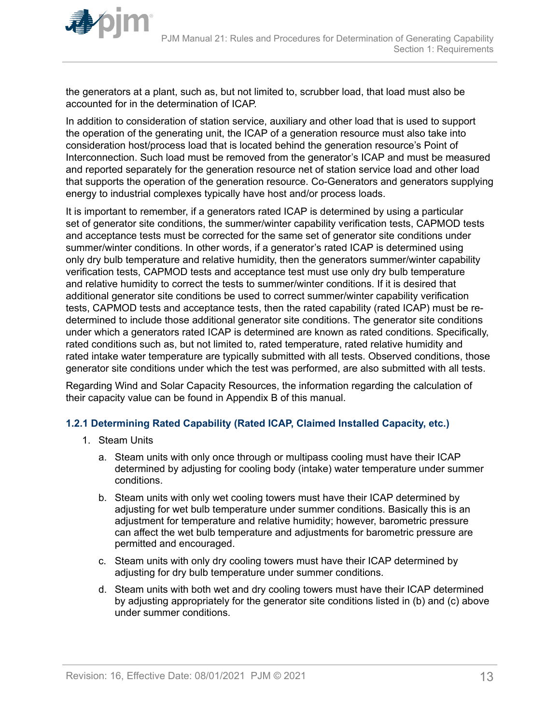

<span id="page-12-0"></span>

the generators at a plant, such as, but not limited to, scrubber load, that load must also be accounted for in the determination of ICAP.

In addition to consideration of station service, auxiliary and other load that is used to support the operation of the generating unit, the ICAP of a generation resource must also take into consideration host/process load that is located behind the generation resource's Point of Interconnection. Such load must be removed from the generator's ICAP and must be measured and reported separately for the generation resource net of station service load and other load that supports the operation of the generation resource. Co-Generators and generators supplying energy to industrial complexes typically have host and/or process loads.

It is important to remember, if a generators rated ICAP is determined by using a particular set of generator site conditions, the summer/winter capability verification tests, CAPMOD tests and acceptance tests must be corrected for the same set of generator site conditions under summer/winter conditions. In other words, if a generator's rated ICAP is determined using only dry bulb temperature and relative humidity, then the generators summer/winter capability verification tests, CAPMOD tests and acceptance test must use only dry bulb temperature and relative humidity to correct the tests to summer/winter conditions. If it is desired that additional generator site conditions be used to correct summer/winter capability verification tests, CAPMOD tests and acceptance tests, then the rated capability (rated ICAP) must be redetermined to include those additional generator site conditions. The generator site conditions under which a generators rated ICAP is determined are known as rated conditions. Specifically, rated conditions such as, but not limited to, rated temperature, rated relative humidity and rated intake water temperature are typically submitted with all tests. Observed conditions, those generator site conditions under which the test was performed, are also submitted with all tests.

Regarding Wind and Solar Capacity Resources, the information regarding the calculation of their capacity value can be found in Appendix B of this manual.

#### **1.2.1 Determining Rated Capability (Rated ICAP, Claimed Installed Capacity, etc.)**

- 1. Steam Units
	- a. Steam units with only once through or multipass cooling must have their ICAP determined by adjusting for cooling body (intake) water temperature under summer conditions.
	- b. Steam units with only wet cooling towers must have their ICAP determined by adjusting for wet bulb temperature under summer conditions. Basically this is an adjustment for temperature and relative humidity; however, barometric pressure can affect the wet bulb temperature and adjustments for barometric pressure are permitted and encouraged.
	- c. Steam units with only dry cooling towers must have their ICAP determined by adjusting for dry bulb temperature under summer conditions.
	- d. Steam units with both wet and dry cooling towers must have their ICAP determined by adjusting appropriately for the generator site conditions listed in (b) and (c) above under summer conditions.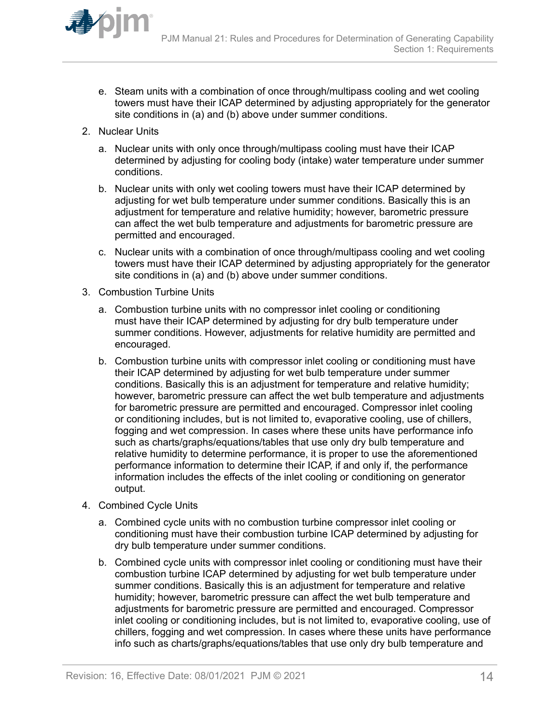

- e. Steam units with a combination of once through/multipass cooling and wet cooling towers must have their ICAP determined by adjusting appropriately for the generator site conditions in (a) and (b) above under summer conditions.
- 2. Nuclear Units
	- a. Nuclear units with only once through/multipass cooling must have their ICAP determined by adjusting for cooling body (intake) water temperature under summer conditions.
	- b. Nuclear units with only wet cooling towers must have their ICAP determined by adjusting for wet bulb temperature under summer conditions. Basically this is an adjustment for temperature and relative humidity; however, barometric pressure can affect the wet bulb temperature and adjustments for barometric pressure are permitted and encouraged.
	- c. Nuclear units with a combination of once through/multipass cooling and wet cooling towers must have their ICAP determined by adjusting appropriately for the generator site conditions in (a) and (b) above under summer conditions.
- 3. Combustion Turbine Units
	- a. Combustion turbine units with no compressor inlet cooling or conditioning must have their ICAP determined by adjusting for dry bulb temperature under summer conditions. However, adjustments for relative humidity are permitted and encouraged.
	- b. Combustion turbine units with compressor inlet cooling or conditioning must have their ICAP determined by adjusting for wet bulb temperature under summer conditions. Basically this is an adjustment for temperature and relative humidity; however, barometric pressure can affect the wet bulb temperature and adjustments for barometric pressure are permitted and encouraged. Compressor inlet cooling or conditioning includes, but is not limited to, evaporative cooling, use of chillers, fogging and wet compression. In cases where these units have performance info such as charts/graphs/equations/tables that use only dry bulb temperature and relative humidity to determine performance, it is proper to use the aforementioned performance information to determine their ICAP, if and only if, the performance information includes the effects of the inlet cooling or conditioning on generator output.
- 4. Combined Cycle Units
	- a. Combined cycle units with no combustion turbine compressor inlet cooling or conditioning must have their combustion turbine ICAP determined by adjusting for dry bulb temperature under summer conditions.
	- b. Combined cycle units with compressor inlet cooling or conditioning must have their combustion turbine ICAP determined by adjusting for wet bulb temperature under summer conditions. Basically this is an adjustment for temperature and relative humidity; however, barometric pressure can affect the wet bulb temperature and adjustments for barometric pressure are permitted and encouraged. Compressor inlet cooling or conditioning includes, but is not limited to, evaporative cooling, use of chillers, fogging and wet compression. In cases where these units have performance info such as charts/graphs/equations/tables that use only dry bulb temperature and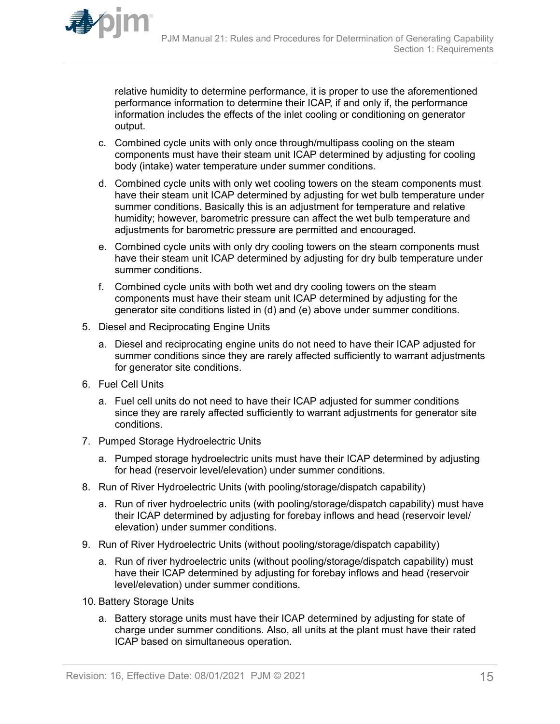

relative humidity to determine performance, it is proper to use the aforementioned performance information to determine their ICAP, if and only if, the performance information includes the effects of the inlet cooling or conditioning on generator output.

- c. Combined cycle units with only once through/multipass cooling on the steam components must have their steam unit ICAP determined by adjusting for cooling body (intake) water temperature under summer conditions.
- d. Combined cycle units with only wet cooling towers on the steam components must have their steam unit ICAP determined by adjusting for wet bulb temperature under summer conditions. Basically this is an adjustment for temperature and relative humidity; however, barometric pressure can affect the wet bulb temperature and adjustments for barometric pressure are permitted and encouraged.
- e. Combined cycle units with only dry cooling towers on the steam components must have their steam unit ICAP determined by adjusting for dry bulb temperature under summer conditions.
- f. Combined cycle units with both wet and dry cooling towers on the steam components must have their steam unit ICAP determined by adjusting for the generator site conditions listed in (d) and (e) above under summer conditions.
- 5. Diesel and Reciprocating Engine Units
	- a. Diesel and reciprocating engine units do not need to have their ICAP adjusted for summer conditions since they are rarely affected sufficiently to warrant adjustments for generator site conditions.
- 6. Fuel Cell Units
	- a. Fuel cell units do not need to have their ICAP adjusted for summer conditions since they are rarely affected sufficiently to warrant adjustments for generator site conditions.
- 7. Pumped Storage Hydroelectric Units
	- a. Pumped storage hydroelectric units must have their ICAP determined by adjusting for head (reservoir level/elevation) under summer conditions.
- 8. Run of River Hydroelectric Units (with pooling/storage/dispatch capability)
	- a. Run of river hydroelectric units (with pooling/storage/dispatch capability) must have their ICAP determined by adjusting for forebay inflows and head (reservoir level/ elevation) under summer conditions.
- 9. Run of River Hydroelectric Units (without pooling/storage/dispatch capability)
	- a. Run of river hydroelectric units (without pooling/storage/dispatch capability) must have their ICAP determined by adjusting for forebay inflows and head (reservoir level/elevation) under summer conditions.
- 10. Battery Storage Units
	- a. Battery storage units must have their ICAP determined by adjusting for state of charge under summer conditions. Also, all units at the plant must have their rated ICAP based on simultaneous operation.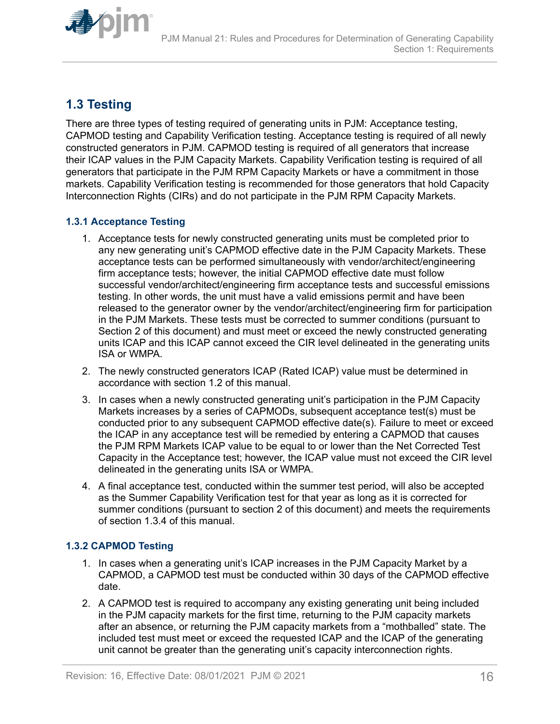<span id="page-15-0"></span>

## **1.3 Testing**

There are three types of testing required of generating units in PJM: Acceptance testing, CAPMOD testing and Capability Verification testing. Acceptance testing is required of all newly constructed generators in PJM. CAPMOD testing is required of all generators that increase their ICAP values in the PJM Capacity Markets. Capability Verification testing is required of all generators that participate in the PJM RPM Capacity Markets or have a commitment in those markets. Capability Verification testing is recommended for those generators that hold Capacity Interconnection Rights (CIRs) and do not participate in the PJM RPM Capacity Markets.

## **1.3.1 Acceptance Testing**

- 1. Acceptance tests for newly constructed generating units must be completed prior to any new generating unit's CAPMOD effective date in the PJM Capacity Markets. These acceptance tests can be performed simultaneously with vendor/architect/engineering firm acceptance tests; however, the initial CAPMOD effective date must follow successful vendor/architect/engineering firm acceptance tests and successful emissions testing. In other words, the unit must have a valid emissions permit and have been released to the generator owner by the vendor/architect/engineering firm for participation in the PJM Markets. These tests must be corrected to summer conditions (pursuant to Section 2 of this document) and must meet or exceed the newly constructed generating units ICAP and this ICAP cannot exceed the CIR level delineated in the generating units ISA or WMPA.
- 2. The newly constructed generators ICAP (Rated ICAP) value must be determined in accordance with section 1.2 of this manual.
- 3. In cases when a newly constructed generating unit's participation in the PJM Capacity Markets increases by a series of CAPMODs, subsequent acceptance test(s) must be conducted prior to any subsequent CAPMOD effective date(s). Failure to meet or exceed the ICAP in any acceptance test will be remedied by entering a CAPMOD that causes the PJM RPM Markets ICAP value to be equal to or lower than the Net Corrected Test Capacity in the Acceptance test; however, the ICAP value must not exceed the CIR level delineated in the generating units ISA or WMPA.
- 4. A final acceptance test, conducted within the summer test period, will also be accepted as the Summer Capability Verification test for that year as long as it is corrected for summer conditions (pursuant to section 2 of this document) and meets the requirements of section 1.3.4 of this manual.

## **1.3.2 CAPMOD Testing**

- 1. In cases when a generating unit's ICAP increases in the PJM Capacity Market by a CAPMOD, a CAPMOD test must be conducted within 30 days of the CAPMOD effective date.
- 2. A CAPMOD test is required to accompany any existing generating unit being included in the PJM capacity markets for the first time, returning to the PJM capacity markets after an absence, or returning the PJM capacity markets from a "mothballed" state. The included test must meet or exceed the requested ICAP and the ICAP of the generating unit cannot be greater than the generating unit's capacity interconnection rights.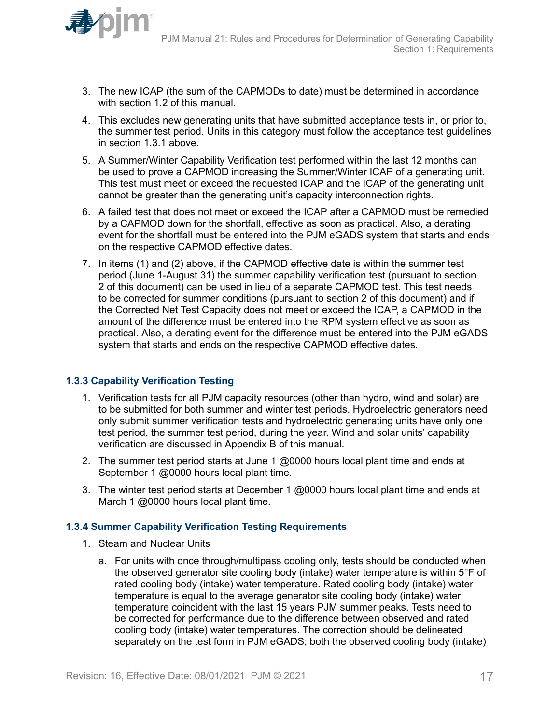<span id="page-16-0"></span>

- 3. The new ICAP (the sum of the CAPMODs to date) must be determined in accordance with section 1.2 of this manual.
- 4. This excludes new generating units that have submitted acceptance tests in, or prior to, the summer test period. Units in this category must follow the acceptance test guidelines in section 1.3.1 above.
- 5. A Summer/Winter Capability Verification test performed within the last 12 months can be used to prove a CAPMOD increasing the Summer/Winter ICAP of a generating unit. This test must meet or exceed the requested ICAP and the ICAP of the generating unit cannot be greater than the generating unit's capacity interconnection rights.
- 6. A failed test that does not meet or exceed the ICAP after a CAPMOD must be remedied by a CAPMOD down for the shortfall, effective as soon as practical. Also, a derating event for the shortfall must be entered into the PJM eGADS system that starts and ends on the respective CAPMOD effective dates.
- 7. In items (1) and (2) above, if the CAPMOD effective date is within the summer test period (June 1-August 31) the summer capability verification test (pursuant to section 2 of this document) can be used in lieu of a separate CAPMOD test. This test needs to be corrected for summer conditions (pursuant to section 2 of this document) and if the Corrected Net Test Capacity does not meet or exceed the ICAP, a CAPMOD in the amount of the difference must be entered into the RPM system effective as soon as practical. Also, a derating event for the difference must be entered into the PJM eGADS system that starts and ends on the respective CAPMOD effective dates.

## **1.3.3 Capability Verification Testing**

- 1. Verification tests for all PJM capacity resources (other than hydro, wind and solar) are to be submitted for both summer and winter test periods. Hydroelectric generators need only submit summer verification tests and hydroelectric generating units have only one test period, the summer test period, during the year. Wind and solar units' capability verification are discussed in Appendix B of this manual.
- 2. The summer test period starts at June 1 @0000 hours local plant time and ends at September 1 @0000 hours local plant time.
- 3. The winter test period starts at December 1  $@0000$  hours local plant time and ends at March 1 @0000 hours local plant time.

#### **1.3.4 Summer Capability Verification Testing Requirements**

- 1. Steam and Nuclear Units
	- a. For units with once through/multipass cooling only, tests should be conducted when the observed generator site cooling body (intake) water temperature is within 5°F of rated cooling body (intake) water temperature. Rated cooling body (intake) water temperature is equal to the average generator site cooling body (intake) water temperature coincident with the last 15 years PJM summer peaks. Tests need to be corrected for performance due to the difference between observed and rated cooling body (intake) water temperatures. The correction should be delineated separately on the test form in PJM eGADS; both the observed cooling body (intake)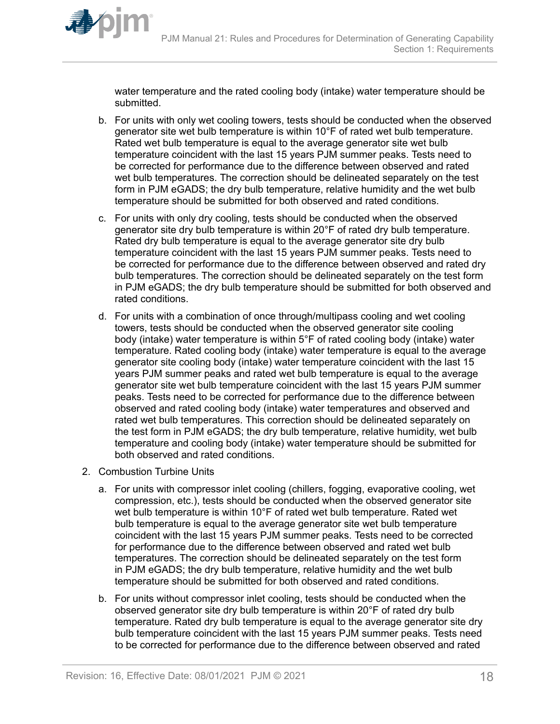

water temperature and the rated cooling body (intake) water temperature should be submitted.

- b. For units with only wet cooling towers, tests should be conducted when the observed generator site wet bulb temperature is within 10°F of rated wet bulb temperature. Rated wet bulb temperature is equal to the average generator site wet bulb temperature coincident with the last 15 years PJM summer peaks. Tests need to be corrected for performance due to the difference between observed and rated wet bulb temperatures. The correction should be delineated separately on the test form in PJM eGADS; the dry bulb temperature, relative humidity and the wet bulb temperature should be submitted for both observed and rated conditions.
- c. For units with only dry cooling, tests should be conducted when the observed generator site dry bulb temperature is within 20°F of rated dry bulb temperature. Rated dry bulb temperature is equal to the average generator site dry bulb temperature coincident with the last 15 years PJM summer peaks. Tests need to be corrected for performance due to the difference between observed and rated dry bulb temperatures. The correction should be delineated separately on the test form in PJM eGADS; the dry bulb temperature should be submitted for both observed and rated conditions.
- d. For units with a combination of once through/multipass cooling and wet cooling towers, tests should be conducted when the observed generator site cooling body (intake) water temperature is within 5°F of rated cooling body (intake) water temperature. Rated cooling body (intake) water temperature is equal to the average generator site cooling body (intake) water temperature coincident with the last 15 years PJM summer peaks and rated wet bulb temperature is equal to the average generator site wet bulb temperature coincident with the last 15 years PJM summer peaks. Tests need to be corrected for performance due to the difference between observed and rated cooling body (intake) water temperatures and observed and rated wet bulb temperatures. This correction should be delineated separately on the test form in PJM eGADS; the dry bulb temperature, relative humidity, wet bulb temperature and cooling body (intake) water temperature should be submitted for both observed and rated conditions.
- 2. Combustion Turbine Units
	- a. For units with compressor inlet cooling (chillers, fogging, evaporative cooling, wet compression, etc.), tests should be conducted when the observed generator site wet bulb temperature is within 10°F of rated wet bulb temperature. Rated wet bulb temperature is equal to the average generator site wet bulb temperature coincident with the last 15 years PJM summer peaks. Tests need to be corrected for performance due to the difference between observed and rated wet bulb temperatures. The correction should be delineated separately on the test form in PJM eGADS; the dry bulb temperature, relative humidity and the wet bulb temperature should be submitted for both observed and rated conditions.
	- b. For units without compressor inlet cooling, tests should be conducted when the observed generator site dry bulb temperature is within 20°F of rated dry bulb temperature. Rated dry bulb temperature is equal to the average generator site dry bulb temperature coincident with the last 15 years PJM summer peaks. Tests need to be corrected for performance due to the difference between observed and rated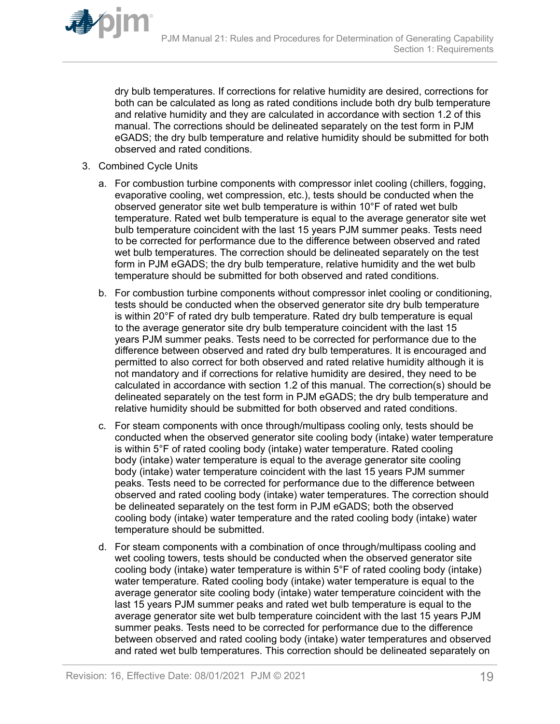

dry bulb temperatures. If corrections for relative humidity are desired, corrections for both can be calculated as long as rated conditions include both dry bulb temperature and relative humidity and they are calculated in accordance with section 1.2 of this manual. The corrections should be delineated separately on the test form in PJM eGADS; the dry bulb temperature and relative humidity should be submitted for both observed and rated conditions.

- 3. Combined Cycle Units
	- a. For combustion turbine components with compressor inlet cooling (chillers, fogging, evaporative cooling, wet compression, etc.), tests should be conducted when the observed generator site wet bulb temperature is within 10°F of rated wet bulb temperature. Rated wet bulb temperature is equal to the average generator site wet bulb temperature coincident with the last 15 years PJM summer peaks. Tests need to be corrected for performance due to the difference between observed and rated wet bulb temperatures. The correction should be delineated separately on the test form in PJM eGADS; the dry bulb temperature, relative humidity and the wet bulb temperature should be submitted for both observed and rated conditions.
	- b. For combustion turbine components without compressor inlet cooling or conditioning, tests should be conducted when the observed generator site dry bulb temperature is within 20°F of rated dry bulb temperature. Rated dry bulb temperature is equal to the average generator site dry bulb temperature coincident with the last 15 years PJM summer peaks. Tests need to be corrected for performance due to the difference between observed and rated dry bulb temperatures. It is encouraged and permitted to also correct for both observed and rated relative humidity although it is not mandatory and if corrections for relative humidity are desired, they need to be calculated in accordance with section 1.2 of this manual. The correction(s) should be delineated separately on the test form in PJM eGADS; the dry bulb temperature and relative humidity should be submitted for both observed and rated conditions.
	- c. For steam components with once through/multipass cooling only, tests should be conducted when the observed generator site cooling body (intake) water temperature is within 5°F of rated cooling body (intake) water temperature. Rated cooling body (intake) water temperature is equal to the average generator site cooling body (intake) water temperature coincident with the last 15 years PJM summer peaks. Tests need to be corrected for performance due to the difference between observed and rated cooling body (intake) water temperatures. The correction should be delineated separately on the test form in PJM eGADS; both the observed cooling body (intake) water temperature and the rated cooling body (intake) water temperature should be submitted.
	- d. For steam components with a combination of once through/multipass cooling and wet cooling towers, tests should be conducted when the observed generator site cooling body (intake) water temperature is within 5°F of rated cooling body (intake) water temperature. Rated cooling body (intake) water temperature is equal to the average generator site cooling body (intake) water temperature coincident with the last 15 years PJM summer peaks and rated wet bulb temperature is equal to the average generator site wet bulb temperature coincident with the last 15 years PJM summer peaks. Tests need to be corrected for performance due to the difference between observed and rated cooling body (intake) water temperatures and observed and rated wet bulb temperatures. This correction should be delineated separately on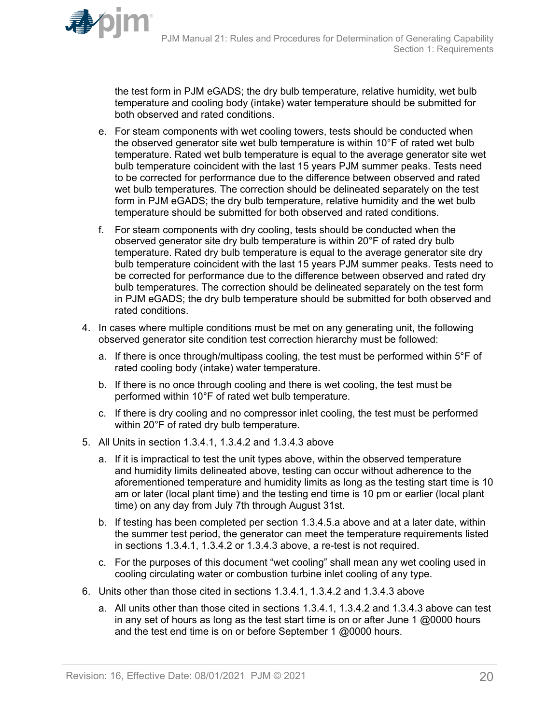the test form in PJM eGADS; the dry bulb temperature, relative humidity, wet bulb temperature and cooling body (intake) water temperature should be submitted for both observed and rated conditions.

- e. For steam components with wet cooling towers, tests should be conducted when the observed generator site wet bulb temperature is within 10°F of rated wet bulb temperature. Rated wet bulb temperature is equal to the average generator site wet bulb temperature coincident with the last 15 years PJM summer peaks. Tests need to be corrected for performance due to the difference between observed and rated wet bulb temperatures. The correction should be delineated separately on the test form in PJM eGADS; the dry bulb temperature, relative humidity and the wet bulb temperature should be submitted for both observed and rated conditions.
- f. For steam components with dry cooling, tests should be conducted when the observed generator site dry bulb temperature is within 20°F of rated dry bulb temperature. Rated dry bulb temperature is equal to the average generator site dry bulb temperature coincident with the last 15 years PJM summer peaks. Tests need to be corrected for performance due to the difference between observed and rated dry bulb temperatures. The correction should be delineated separately on the test form in PJM eGADS; the dry bulb temperature should be submitted for both observed and rated conditions.
- 4. In cases where multiple conditions must be met on any generating unit, the following observed generator site condition test correction hierarchy must be followed:
	- a. If there is once through/multipass cooling, the test must be performed within 5°F of rated cooling body (intake) water temperature.
	- b. If there is no once through cooling and there is wet cooling, the test must be performed within 10°F of rated wet bulb temperature.
	- c. If there is dry cooling and no compressor inlet cooling, the test must be performed within 20°F of rated dry bulb temperature.
- 5. All Units in section 1.3.4.1, 1.3.4.2 and 1.3.4.3 above
	- a. If it is impractical to test the unit types above, within the observed temperature and humidity limits delineated above, testing can occur without adherence to the aforementioned temperature and humidity limits as long as the testing start time is 10 am or later (local plant time) and the testing end time is 10 pm or earlier (local plant time) on any day from July 7th through August 31st.
	- b. If testing has been completed per section 1.3.4.5.a above and at a later date, within the summer test period, the generator can meet the temperature requirements listed in sections 1.3.4.1, 1.3.4.2 or 1.3.4.3 above, a re-test is not required.
	- c. For the purposes of this document "wet cooling" shall mean any wet cooling used in cooling circulating water or combustion turbine inlet cooling of any type.
- 6. Units other than those cited in sections 1.3.4.1, 1.3.4.2 and 1.3.4.3 above
	- a. All units other than those cited in sections 1.3.4.1, 1.3.4.2 and 1.3.4.3 above can test in any set of hours as long as the test start time is on or after June 1  $@0000$  hours and the test end time is on or before September 1 @0000 hours.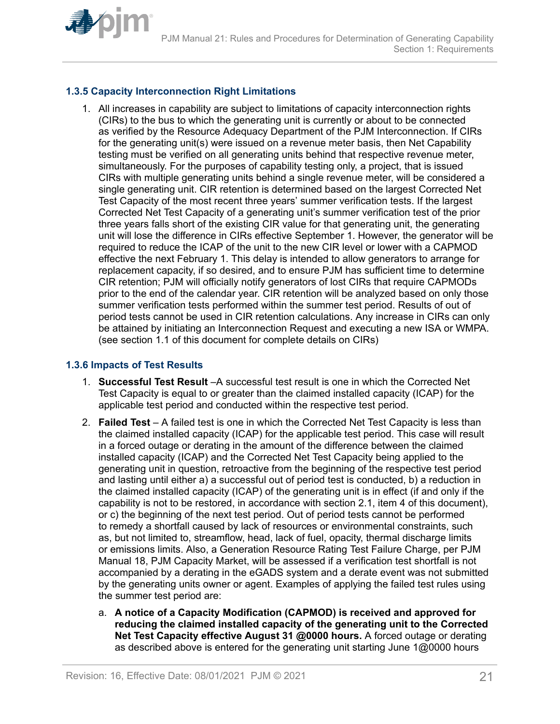<span id="page-20-0"></span>

## **1.3.5 Capacity Interconnection Right Limitations**

1. All increases in capability are subject to limitations of capacity interconnection rights (CIRs) to the bus to which the generating unit is currently or about to be connected as verified by the Resource Adequacy Department of the PJM Interconnection. If CIRs for the generating unit(s) were issued on a revenue meter basis, then Net Capability testing must be verified on all generating units behind that respective revenue meter, simultaneously. For the purposes of capability testing only, a project, that is issued CIRs with multiple generating units behind a single revenue meter, will be considered a single generating unit. CIR retention is determined based on the largest Corrected Net Test Capacity of the most recent three years' summer verification tests. If the largest Corrected Net Test Capacity of a generating unit's summer verification test of the prior three years falls short of the existing CIR value for that generating unit, the generating unit will lose the difference in CIRs effective September 1. However, the generator will be required to reduce the ICAP of the unit to the new CIR level or lower with a CAPMOD effective the next February 1. This delay is intended to allow generators to arrange for replacement capacity, if so desired, and to ensure PJM has sufficient time to determine CIR retention; PJM will officially notify generators of lost CIRs that require CAPMODs prior to the end of the calendar year. CIR retention will be analyzed based on only those summer verification tests performed within the summer test period. Results of out of period tests cannot be used in CIR retention calculations. Any increase in CIRs can only be attained by initiating an Interconnection Request and executing a new ISA or WMPA. (see section 1.1 of this document for complete details on CIRs)

### **1.3.6 Impacts of Test Results**

- 1. **Successful Test Result** –A successful test result is one in which the Corrected Net Test Capacity is equal to or greater than the claimed installed capacity (ICAP) for the applicable test period and conducted within the respective test period.
- 2. **Failed Test** A failed test is one in which the Corrected Net Test Capacity is less than the claimed installed capacity (ICAP) for the applicable test period. This case will result in a forced outage or derating in the amount of the difference between the claimed installed capacity (ICAP) and the Corrected Net Test Capacity being applied to the generating unit in question, retroactive from the beginning of the respective test period and lasting until either a) a successful out of period test is conducted, b) a reduction in the claimed installed capacity (ICAP) of the generating unit is in effect (if and only if the capability is not to be restored, in accordance with section 2.1, item 4 of this document), or c) the beginning of the next test period. Out of period tests cannot be performed to remedy a shortfall caused by lack of resources or environmental constraints, such as, but not limited to, streamflow, head, lack of fuel, opacity, thermal discharge limits or emissions limits. Also, a Generation Resource Rating Test Failure Charge, per PJM Manual 18, PJM Capacity Market, will be assessed if a verification test shortfall is not accompanied by a derating in the eGADS system and a derate event was not submitted by the generating units owner or agent. Examples of applying the failed test rules using the summer test period are:
	- a. **A notice of a Capacity Modification (CAPMOD) is received and approved for reducing the claimed installed capacity of the generating unit to the Corrected Net Test Capacity effective August 31 @0000 hours.** A forced outage or derating as described above is entered for the generating unit starting June 1@0000 hours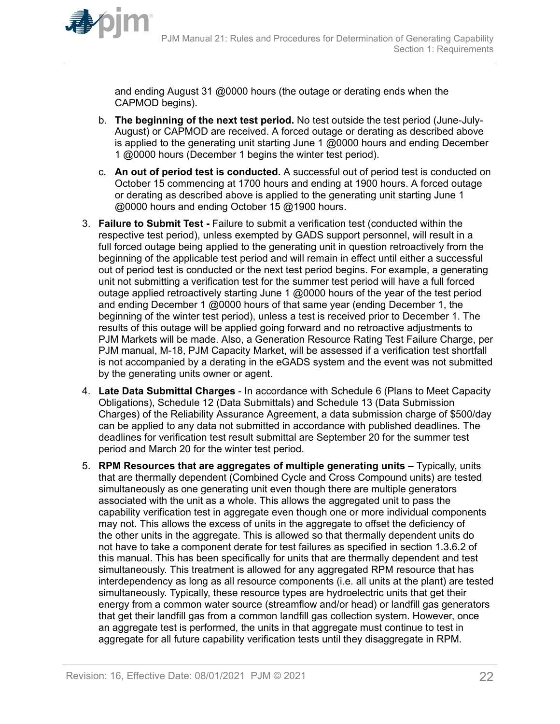

and ending August 31 @0000 hours (the outage or derating ends when the CAPMOD begins).

- b. **The beginning of the next test period.** No test outside the test period (June-July-August) or CAPMOD are received. A forced outage or derating as described above is applied to the generating unit starting June 1 @0000 hours and ending December 1 @0000 hours (December 1 begins the winter test period).
- c. **An out of period test is conducted.** A successful out of period test is conducted on October 15 commencing at 1700 hours and ending at 1900 hours. A forced outage or derating as described above is applied to the generating unit starting June 1 @0000 hours and ending October 15 @1900 hours.
- 3. **Failure to Submit Test** Failure to submit a verification test (conducted within the respective test period), unless exempted by GADS support personnel, will result in a full forced outage being applied to the generating unit in question retroactively from the beginning of the applicable test period and will remain in effect until either a successful out of period test is conducted or the next test period begins. For example, a generating unit not submitting a verification test for the summer test period will have a full forced outage applied retroactively starting June 1 @0000 hours of the year of the test period and ending December 1 @0000 hours of that same year (ending December 1, the beginning of the winter test period), unless a test is received prior to December 1. The results of this outage will be applied going forward and no retroactive adjustments to PJM Markets will be made. Also, a Generation Resource Rating Test Failure Charge, per PJM manual, M-18, PJM Capacity Market, will be assessed if a verification test shortfall is not accompanied by a derating in the eGADS system and the event was not submitted by the generating units owner or agent.
- 4. **Late Data Submittal Charges** In accordance with Schedule 6 (Plans to Meet Capacity Obligations), Schedule 12 (Data Submittals) and Schedule 13 (Data Submission Charges) of the Reliability Assurance Agreement, a data submission charge of \$500/day can be applied to any data not submitted in accordance with published deadlines. The deadlines for verification test result submittal are September 20 for the summer test period and March 20 for the winter test period.
- 5. **RPM Resources that are aggregates of multiple generating units** Typically, units that are thermally dependent (Combined Cycle and Cross Compound units) are tested simultaneously as one generating unit even though there are multiple generators associated with the unit as a whole. This allows the aggregated unit to pass the capability verification test in aggregate even though one or more individual components may not. This allows the excess of units in the aggregate to offset the deficiency of the other units in the aggregate. This is allowed so that thermally dependent units do not have to take a component derate for test failures as specified in section 1.3.6.2 of this manual. This has been specifically for units that are thermally dependent and test simultaneously. This treatment is allowed for any aggregated RPM resource that has interdependency as long as all resource components (i.e. all units at the plant) are tested simultaneously. Typically, these resource types are hydroelectric units that get their energy from a common water source (streamflow and/or head) or landfill gas generators that get their landfill gas from a common landfill gas collection system. However, once an aggregate test is performed, the units in that aggregate must continue to test in aggregate for all future capability verification tests until they disaggregate in RPM.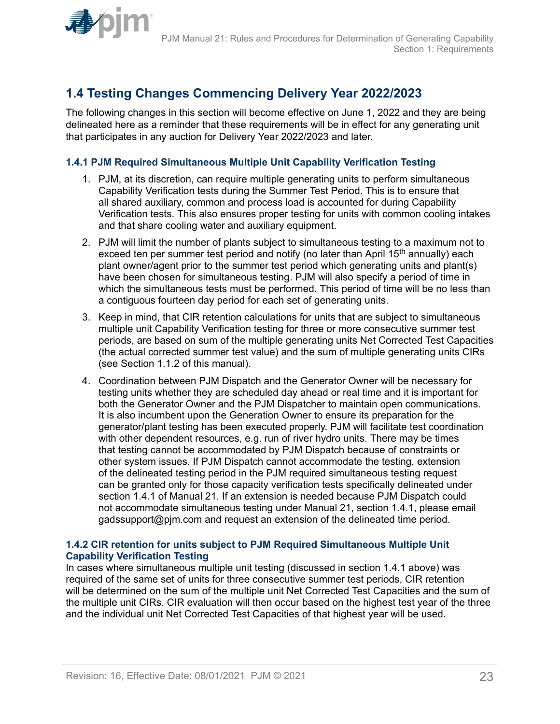<span id="page-22-0"></span>

## **1.4 Testing Changes Commencing Delivery Year 2022/2023**

The following changes in this section will become effective on June 1, 2022 and they are being delineated here as a reminder that these requirements will be in effect for any generating unit that participates in any auction for Delivery Year 2022/2023 and later.

### **1.4.1 PJM Required Simultaneous Multiple Unit Capability Verification Testing**

- 1. PJM, at its discretion, can require multiple generating units to perform simultaneous Capability Verification tests during the Summer Test Period. This is to ensure that all shared auxiliary, common and process load is accounted for during Capability Verification tests. This also ensures proper testing for units with common cooling intakes and that share cooling water and auxiliary equipment.
- 2. PJM will limit the number of plants subject to simultaneous testing to a maximum not to exceed ten per summer test period and notify (no later than April  $15<sup>th</sup>$  annually) each plant owner/agent prior to the summer test period which generating units and plant(s) have been chosen for simultaneous testing. PJM will also specify a period of time in which the simultaneous tests must be performed. This period of time will be no less than a contiguous fourteen day period for each set of generating units.
- 3. Keep in mind, that CIR retention calculations for units that are subject to simultaneous multiple unit Capability Verification testing for three or more consecutive summer test periods, are based on sum of the multiple generating units Net Corrected Test Capacities (the actual corrected summer test value) and the sum of multiple generating units CIRs (see Section 1.1.2 of this manual).
- 4. Coordination between PJM Dispatch and the Generator Owner will be necessary for testing units whether they are scheduled day ahead or real time and it is important for both the Generator Owner and the PJM Dispatcher to maintain open communications. It is also incumbent upon the Generation Owner to ensure its preparation for the generator/plant testing has been executed properly. PJM will facilitate test coordination with other dependent resources, e.g. run of river hydro units. There may be times that testing cannot be accommodated by PJM Dispatch because of constraints or other system issues. If PJM Dispatch cannot accommodate the testing, extension of the delineated testing period in the PJM required simultaneous testing request can be granted only for those capacity verification tests specifically delineated under section 1.4.1 of Manual 21. If an extension is needed because PJM Dispatch could not accommodate simultaneous testing under Manual 21, section 1.4.1, please email gadssupport@pjm.com and request an extension of the delineated time period.

#### **1.4.2 CIR retention for units subject to PJM Required Simultaneous Multiple Unit Capability Verification Testing**

In cases where simultaneous multiple unit testing (discussed in section 1.4.1 above) was required of the same set of units for three consecutive summer test periods, CIR retention will be determined on the sum of the multiple unit Net Corrected Test Capacities and the sum of the multiple unit CIRs. CIR evaluation will then occur based on the highest test year of the three and the individual unit Net Corrected Test Capacities of that highest year will be used.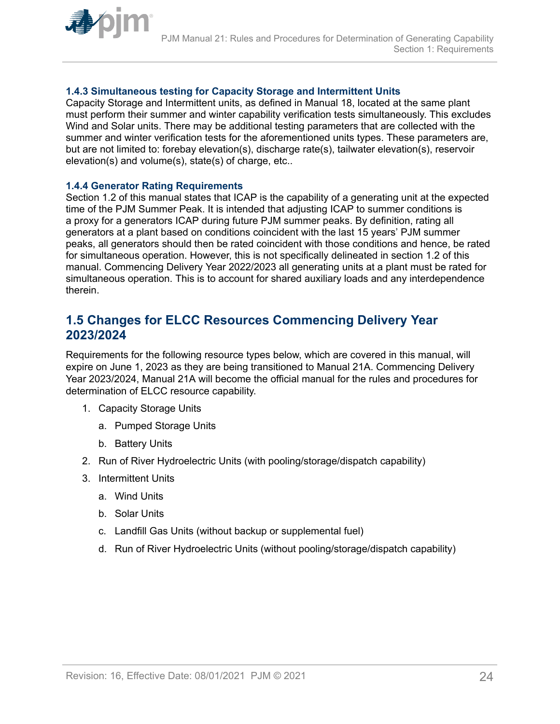<span id="page-23-0"></span>

## **1.4.3 Simultaneous testing for Capacity Storage and Intermittent Units**

Capacity Storage and Intermittent units, as defined in Manual 18, located at the same plant must perform their summer and winter capability verification tests simultaneously. This excludes Wind and Solar units. There may be additional testing parameters that are collected with the summer and winter verification tests for the aforementioned units types. These parameters are, but are not limited to: forebay elevation(s), discharge rate(s), tailwater elevation(s), reservoir elevation(s) and volume(s), state(s) of charge, etc..

#### **1.4.4 Generator Rating Requirements**

Section 1.2 of this manual states that ICAP is the capability of a generating unit at the expected time of the PJM Summer Peak. It is intended that adjusting ICAP to summer conditions is a proxy for a generators ICAP during future PJM summer peaks. By definition, rating all generators at a plant based on conditions coincident with the last 15 years' PJM summer peaks, all generators should then be rated coincident with those conditions and hence, be rated for simultaneous operation. However, this is not specifically delineated in section 1.2 of this manual. Commencing Delivery Year 2022/2023 all generating units at a plant must be rated for simultaneous operation. This is to account for shared auxiliary loads and any interdependence therein.

## **1.5 Changes for ELCC Resources Commencing Delivery Year 2023/2024**

Requirements for the following resource types below, which are covered in this manual, will expire on June 1, 2023 as they are being transitioned to Manual 21A. Commencing Delivery Year 2023/2024, Manual 21A will become the official manual for the rules and procedures for determination of ELCC resource capability.

- 1. Capacity Storage Units
	- a. Pumped Storage Units
	- b. Battery Units
- 2. Run of River Hydroelectric Units (with pooling/storage/dispatch capability)
- 3. Intermittent Units
	- a. Wind Units
	- b. Solar Units
	- c. Landfill Gas Units (without backup or supplemental fuel)
	- d. Run of River Hydroelectric Units (without pooling/storage/dispatch capability)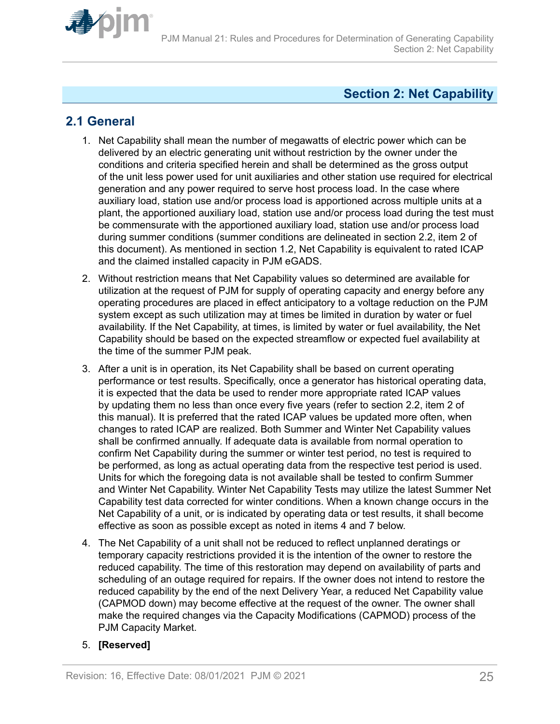<span id="page-24-0"></span>

## **Section 2: Net Capability**

## **2.1 General**

- 1. Net Capability shall mean the number of megawatts of electric power which can be delivered by an electric generating unit without restriction by the owner under the conditions and criteria specified herein and shall be determined as the gross output of the unit less power used for unit auxiliaries and other station use required for electrical generation and any power required to serve host process load. In the case where auxiliary load, station use and/or process load is apportioned across multiple units at a plant, the apportioned auxiliary load, station use and/or process load during the test must be commensurate with the apportioned auxiliary load, station use and/or process load during summer conditions (summer conditions are delineated in section 2.2, item 2 of this document). As mentioned in section 1.2, Net Capability is equivalent to rated ICAP and the claimed installed capacity in PJM eGADS.
- 2. Without restriction means that Net Capability values so determined are available for utilization at the request of PJM for supply of operating capacity and energy before any operating procedures are placed in effect anticipatory to a voltage reduction on the PJM system except as such utilization may at times be limited in duration by water or fuel availability. If the Net Capability, at times, is limited by water or fuel availability, the Net Capability should be based on the expected streamflow or expected fuel availability at the time of the summer PJM peak.
- 3. After a unit is in operation, its Net Capability shall be based on current operating performance or test results. Specifically, once a generator has historical operating data, it is expected that the data be used to render more appropriate rated ICAP values by updating them no less than once every five years (refer to section 2.2, item 2 of this manual). It is preferred that the rated ICAP values be updated more often, when changes to rated ICAP are realized. Both Summer and Winter Net Capability values shall be confirmed annually. If adequate data is available from normal operation to confirm Net Capability during the summer or winter test period, no test is required to be performed, as long as actual operating data from the respective test period is used. Units for which the foregoing data is not available shall be tested to confirm Summer and Winter Net Capability. Winter Net Capability Tests may utilize the latest Summer Net Capability test data corrected for winter conditions. When a known change occurs in the Net Capability of a unit, or is indicated by operating data or test results, it shall become effective as soon as possible except as noted in items 4 and 7 below.
- 4. The Net Capability of a unit shall not be reduced to reflect unplanned deratings or temporary capacity restrictions provided it is the intention of the owner to restore the reduced capability. The time of this restoration may depend on availability of parts and scheduling of an outage required for repairs. If the owner does not intend to restore the reduced capability by the end of the next Delivery Year, a reduced Net Capability value (CAPMOD down) may become effective at the request of the owner. The owner shall make the required changes via the Capacity Modifications (CAPMOD) process of the PJM Capacity Market.

## 5. **[Reserved]**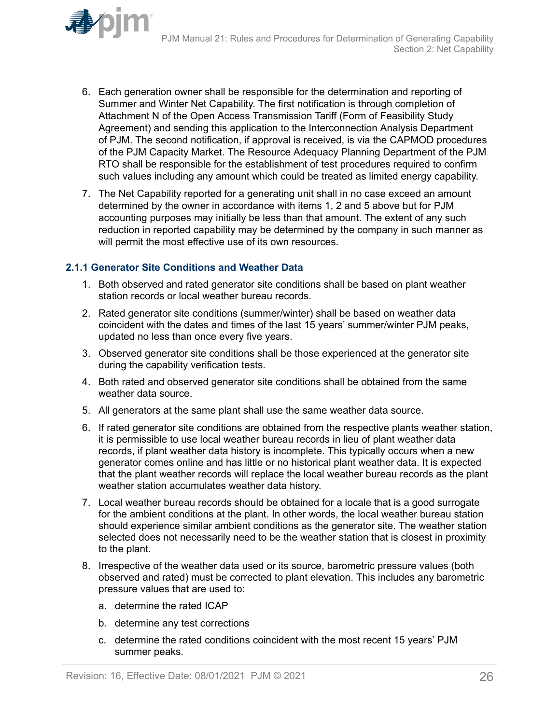<span id="page-25-0"></span>

- 6. Each generation owner shall be responsible for the determination and reporting of Summer and Winter Net Capability. The first notification is through completion of Attachment N of the Open Access Transmission Tariff (Form of Feasibility Study Agreement) and sending this application to the Interconnection Analysis Department of PJM. The second notification, if approval is received, is via the CAPMOD procedures of the PJM Capacity Market. The Resource Adequacy Planning Department of the PJM RTO shall be responsible for the establishment of test procedures required to confirm such values including any amount which could be treated as limited energy capability.
- 7. The Net Capability reported for a generating unit shall in no case exceed an amount determined by the owner in accordance with items 1, 2 and 5 above but for PJM accounting purposes may initially be less than that amount. The extent of any such reduction in reported capability may be determined by the company in such manner as will permit the most effective use of its own resources.

### **2.1.1 Generator Site Conditions and Weather Data**

- 1. Both observed and rated generator site conditions shall be based on plant weather station records or local weather bureau records.
- 2. Rated generator site conditions (summer/winter) shall be based on weather data coincident with the dates and times of the last 15 years' summer/winter PJM peaks, updated no less than once every five years.
- 3. Observed generator site conditions shall be those experienced at the generator site during the capability verification tests.
- 4. Both rated and observed generator site conditions shall be obtained from the same weather data source.
- 5. All generators at the same plant shall use the same weather data source.
- 6. If rated generator site conditions are obtained from the respective plants weather station, it is permissible to use local weather bureau records in lieu of plant weather data records, if plant weather data history is incomplete. This typically occurs when a new generator comes online and has little or no historical plant weather data. It is expected that the plant weather records will replace the local weather bureau records as the plant weather station accumulates weather data history.
- 7. Local weather bureau records should be obtained for a locale that is a good surrogate for the ambient conditions at the plant. In other words, the local weather bureau station should experience similar ambient conditions as the generator site. The weather station selected does not necessarily need to be the weather station that is closest in proximity to the plant.
- 8. Irrespective of the weather data used or its source, barometric pressure values (both observed and rated) must be corrected to plant elevation. This includes any barometric pressure values that are used to:
	- a. determine the rated ICAP
	- b. determine any test corrections
	- c. determine the rated conditions coincident with the most recent 15 years' PJM summer peaks.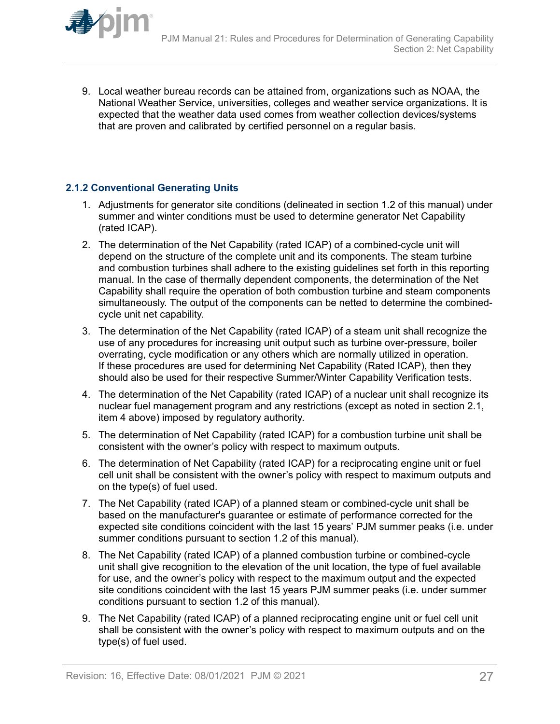<span id="page-26-0"></span>

### **2.1.2 Conventional Generating Units**

- 1. Adjustments for generator site conditions (delineated in section 1.2 of this manual) under summer and winter conditions must be used to determine generator Net Capability (rated ICAP).
- 2. The determination of the Net Capability (rated ICAP) of a combined-cycle unit will depend on the structure of the complete unit and its components. The steam turbine and combustion turbines shall adhere to the existing guidelines set forth in this reporting manual. In the case of thermally dependent components, the determination of the Net Capability shall require the operation of both combustion turbine and steam components simultaneously. The output of the components can be netted to determine the combinedcycle unit net capability.
- 3. The determination of the Net Capability (rated ICAP) of a steam unit shall recognize the use of any procedures for increasing unit output such as turbine over-pressure, boiler overrating, cycle modification or any others which are normally utilized in operation. If these procedures are used for determining Net Capability (Rated ICAP), then they should also be used for their respective Summer/Winter Capability Verification tests.
- 4. The determination of the Net Capability (rated ICAP) of a nuclear unit shall recognize its nuclear fuel management program and any restrictions (except as noted in section 2.1, item 4 above) imposed by regulatory authority.
- 5. The determination of Net Capability (rated ICAP) for a combustion turbine unit shall be consistent with the owner's policy with respect to maximum outputs.
- 6. The determination of Net Capability (rated ICAP) for a reciprocating engine unit or fuel cell unit shall be consistent with the owner's policy with respect to maximum outputs and on the type(s) of fuel used.
- 7. The Net Capability (rated ICAP) of a planned steam or combined-cycle unit shall be based on the manufacturer's guarantee or estimate of performance corrected for the expected site conditions coincident with the last 15 years' PJM summer peaks (i.e. under summer conditions pursuant to section 1.2 of this manual).
- 8. The Net Capability (rated ICAP) of a planned combustion turbine or combined-cycle unit shall give recognition to the elevation of the unit location, the type of fuel available for use, and the owner's policy with respect to the maximum output and the expected site conditions coincident with the last 15 years PJM summer peaks (i.e. under summer conditions pursuant to section 1.2 of this manual).
- 9. The Net Capability (rated ICAP) of a planned reciprocating engine unit or fuel cell unit shall be consistent with the owner's policy with respect to maximum outputs and on the type(s) of fuel used.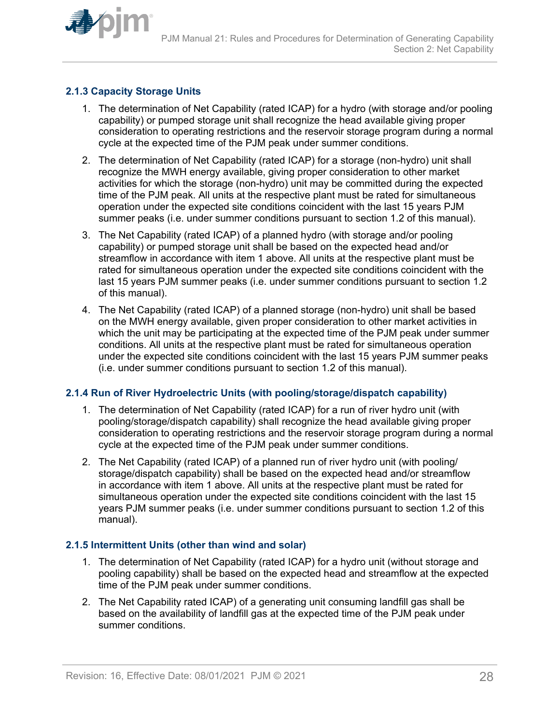<span id="page-27-0"></span>

## **2.1.3 Capacity Storage Units**

- 1. The determination of Net Capability (rated ICAP) for a hydro (with storage and/or pooling capability) or pumped storage unit shall recognize the head available giving proper consideration to operating restrictions and the reservoir storage program during a normal cycle at the expected time of the PJM peak under summer conditions.
- 2. The determination of Net Capability (rated ICAP) for a storage (non-hydro) unit shall recognize the MWH energy available, giving proper consideration to other market activities for which the storage (non-hydro) unit may be committed during the expected time of the PJM peak. All units at the respective plant must be rated for simultaneous operation under the expected site conditions coincident with the last 15 years PJM summer peaks (i.e. under summer conditions pursuant to section 1.2 of this manual).
- 3. The Net Capability (rated ICAP) of a planned hydro (with storage and/or pooling capability) or pumped storage unit shall be based on the expected head and/or streamflow in accordance with item 1 above. All units at the respective plant must be rated for simultaneous operation under the expected site conditions coincident with the last 15 years PJM summer peaks (i.e. under summer conditions pursuant to section 1.2 of this manual).
- 4. The Net Capability (rated ICAP) of a planned storage (non-hydro) unit shall be based on the MWH energy available, given proper consideration to other market activities in which the unit may be participating at the expected time of the PJM peak under summer conditions. All units at the respective plant must be rated for simultaneous operation under the expected site conditions coincident with the last 15 years PJM summer peaks (i.e. under summer conditions pursuant to section 1.2 of this manual).

## **2.1.4 Run of River Hydroelectric Units (with pooling/storage/dispatch capability)**

- 1. The determination of Net Capability (rated ICAP) for a run of river hydro unit (with pooling/storage/dispatch capability) shall recognize the head available giving proper consideration to operating restrictions and the reservoir storage program during a normal cycle at the expected time of the PJM peak under summer conditions.
- 2. The Net Capability (rated ICAP) of a planned run of river hydro unit (with pooling/ storage/dispatch capability) shall be based on the expected head and/or streamflow in accordance with item 1 above. All units at the respective plant must be rated for simultaneous operation under the expected site conditions coincident with the last 15 years PJM summer peaks (i.e. under summer conditions pursuant to section 1.2 of this manual).

## **2.1.5 Intermittent Units (other than wind and solar)**

- 1. The determination of Net Capability (rated ICAP) for a hydro unit (without storage and pooling capability) shall be based on the expected head and streamflow at the expected time of the PJM peak under summer conditions.
- 2. The Net Capability rated ICAP) of a generating unit consuming landfill gas shall be based on the availability of landfill gas at the expected time of the PJM peak under summer conditions.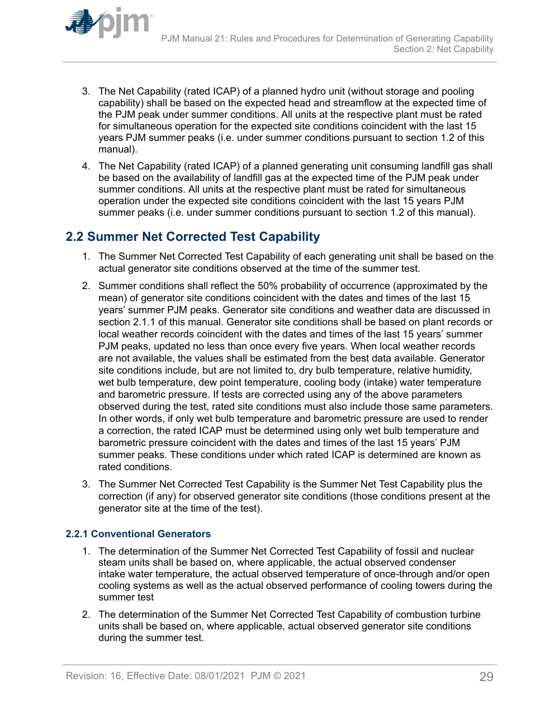<span id="page-28-0"></span>

- 3. The Net Capability (rated ICAP) of a planned hydro unit (without storage and pooling capability) shall be based on the expected head and streamflow at the expected time of the PJM peak under summer conditions. All units at the respective plant must be rated for simultaneous operation for the expected site conditions coincident with the last 15 years PJM summer peaks (i.e. under summer conditions pursuant to section 1.2 of this manual).
- 4. The Net Capability (rated ICAP) of a planned generating unit consuming landfill gas shall be based on the availability of landfill gas at the expected time of the PJM peak under summer conditions. All units at the respective plant must be rated for simultaneous operation under the expected site conditions coincident with the last 15 years PJM summer peaks (i.e. under summer conditions pursuant to section 1.2 of this manual).

## **2.2 Summer Net Corrected Test Capability**

- 1. The Summer Net Corrected Test Capability of each generating unit shall be based on the actual generator site conditions observed at the time of the summer test.
- 2. Summer conditions shall reflect the 50% probability of occurrence (approximated by the mean) of generator site conditions coincident with the dates and times of the last 15 years' summer PJM peaks. Generator site conditions and weather data are discussed in section 2.1.1 of this manual. Generator site conditions shall be based on plant records or local weather records coincident with the dates and times of the last 15 years' summer PJM peaks, updated no less than once every five years. When local weather records are not available, the values shall be estimated from the best data available. Generator site conditions include, but are not limited to, dry bulb temperature, relative humidity, wet bulb temperature, dew point temperature, cooling body (intake) water temperature and barometric pressure. If tests are corrected using any of the above parameters observed during the test, rated site conditions must also include those same parameters. In other words, if only wet bulb temperature and barometric pressure are used to render a correction, the rated ICAP must be determined using only wet bulb temperature and barometric pressure coincident with the dates and times of the last 15 years' PJM summer peaks. These conditions under which rated ICAP is determined are known as rated conditions.
- 3. The Summer Net Corrected Test Capability is the Summer Net Test Capability plus the correction (if any) for observed generator site conditions (those conditions present at the generator site at the time of the test).

## **2.2.1 Conventional Generators**

- 1. The determination of the Summer Net Corrected Test Capability of fossil and nuclear steam units shall be based on, where applicable, the actual observed condenser intake water temperature, the actual observed temperature of once-through and/or open cooling systems as well as the actual observed performance of cooling towers during the summer test
- 2. The determination of the Summer Net Corrected Test Capability of combustion turbine units shall be based on, where applicable, actual observed generator site conditions during the summer test.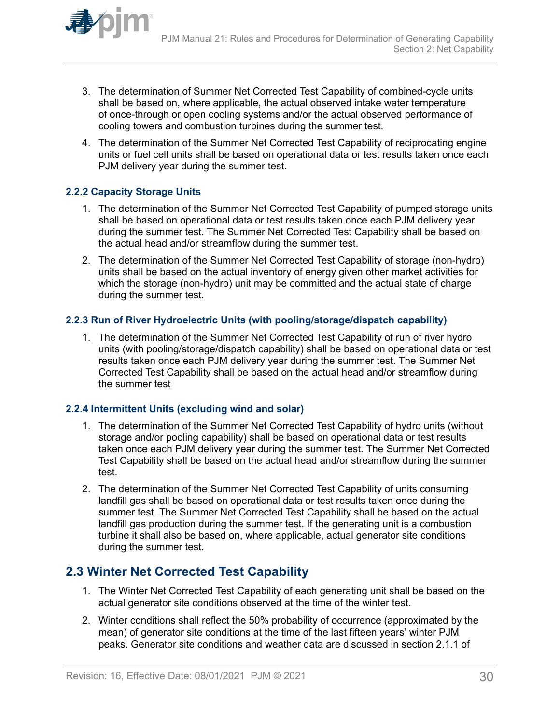<span id="page-29-0"></span>

- 3. The determination of Summer Net Corrected Test Capability of combined-cycle units shall be based on, where applicable, the actual observed intake water temperature of once-through or open cooling systems and/or the actual observed performance of cooling towers and combustion turbines during the summer test.
- 4. The determination of the Summer Net Corrected Test Capability of reciprocating engine units or fuel cell units shall be based on operational data or test results taken once each PJM delivery year during the summer test.

## **2.2.2 Capacity Storage Units**

- 1. The determination of the Summer Net Corrected Test Capability of pumped storage units shall be based on operational data or test results taken once each PJM delivery year during the summer test. The Summer Net Corrected Test Capability shall be based on the actual head and/or streamflow during the summer test.
- 2. The determination of the Summer Net Corrected Test Capability of storage (non-hydro) units shall be based on the actual inventory of energy given other market activities for which the storage (non-hydro) unit may be committed and the actual state of charge during the summer test.

### **2.2.3 Run of River Hydroelectric Units (with pooling/storage/dispatch capability)**

1. The determination of the Summer Net Corrected Test Capability of run of river hydro units (with pooling/storage/dispatch capability) shall be based on operational data or test results taken once each PJM delivery year during the summer test. The Summer Net Corrected Test Capability shall be based on the actual head and/or streamflow during the summer test

### **2.2.4 Intermittent Units (excluding wind and solar)**

- 1. The determination of the Summer Net Corrected Test Capability of hydro units (without storage and/or pooling capability) shall be based on operational data or test results taken once each PJM delivery year during the summer test. The Summer Net Corrected Test Capability shall be based on the actual head and/or streamflow during the summer test.
- 2. The determination of the Summer Net Corrected Test Capability of units consuming landfill gas shall be based on operational data or test results taken once during the summer test. The Summer Net Corrected Test Capability shall be based on the actual landfill gas production during the summer test. If the generating unit is a combustion turbine it shall also be based on, where applicable, actual generator site conditions during the summer test.

## **2.3 Winter Net Corrected Test Capability**

- 1. The Winter Net Corrected Test Capability of each generating unit shall be based on the actual generator site conditions observed at the time of the winter test.
- 2. Winter conditions shall reflect the 50% probability of occurrence (approximated by the mean) of generator site conditions at the time of the last fifteen years' winter PJM peaks. Generator site conditions and weather data are discussed in section 2.1.1 of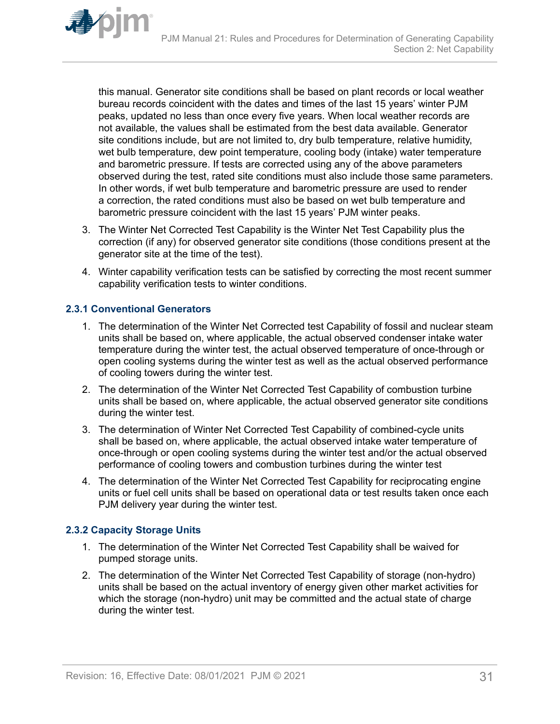<span id="page-30-0"></span>

this manual. Generator site conditions shall be based on plant records or local weather bureau records coincident with the dates and times of the last 15 years' winter PJM peaks, updated no less than once every five years. When local weather records are not available, the values shall be estimated from the best data available. Generator site conditions include, but are not limited to, dry bulb temperature, relative humidity, wet bulb temperature, dew point temperature, cooling body (intake) water temperature and barometric pressure. If tests are corrected using any of the above parameters observed during the test, rated site conditions must also include those same parameters. In other words, if wet bulb temperature and barometric pressure are used to render a correction, the rated conditions must also be based on wet bulb temperature and barometric pressure coincident with the last 15 years' PJM winter peaks.

- 3. The Winter Net Corrected Test Capability is the Winter Net Test Capability plus the correction (if any) for observed generator site conditions (those conditions present at the generator site at the time of the test).
- 4. Winter capability verification tests can be satisfied by correcting the most recent summer capability verification tests to winter conditions.

### **2.3.1 Conventional Generators**

- 1. The determination of the Winter Net Corrected test Capability of fossil and nuclear steam units shall be based on, where applicable, the actual observed condenser intake water temperature during the winter test, the actual observed temperature of once-through or open cooling systems during the winter test as well as the actual observed performance of cooling towers during the winter test.
- 2. The determination of the Winter Net Corrected Test Capability of combustion turbine units shall be based on, where applicable, the actual observed generator site conditions during the winter test.
- 3. The determination of Winter Net Corrected Test Capability of combined-cycle units shall be based on, where applicable, the actual observed intake water temperature of once-through or open cooling systems during the winter test and/or the actual observed performance of cooling towers and combustion turbines during the winter test
- 4. The determination of the Winter Net Corrected Test Capability for reciprocating engine units or fuel cell units shall be based on operational data or test results taken once each PJM delivery year during the winter test.

## **2.3.2 Capacity Storage Units**

- 1. The determination of the Winter Net Corrected Test Capability shall be waived for pumped storage units.
- 2. The determination of the Winter Net Corrected Test Capability of storage (non-hydro) units shall be based on the actual inventory of energy given other market activities for which the storage (non-hydro) unit may be committed and the actual state of charge during the winter test.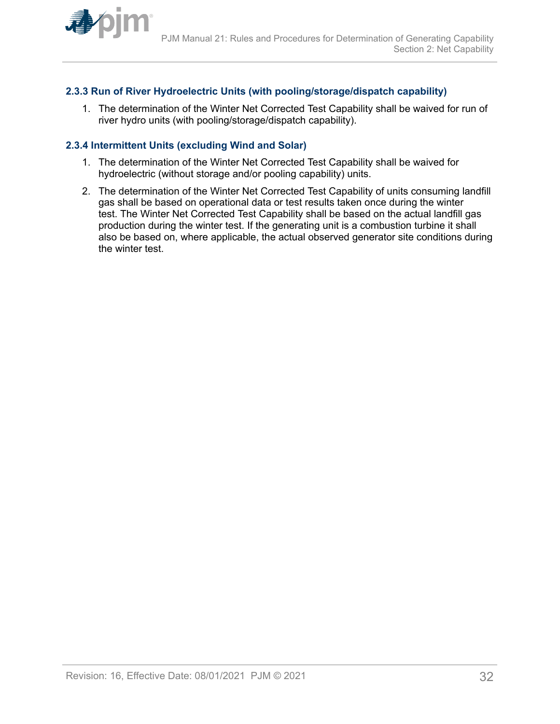<span id="page-31-0"></span>

### **2.3.3 Run of River Hydroelectric Units (with pooling/storage/dispatch capability)**

1. The determination of the Winter Net Corrected Test Capability shall be waived for run of river hydro units (with pooling/storage/dispatch capability).

### **2.3.4 Intermittent Units (excluding Wind and Solar)**

- 1. The determination of the Winter Net Corrected Test Capability shall be waived for hydroelectric (without storage and/or pooling capability) units.
- 2. The determination of the Winter Net Corrected Test Capability of units consuming landfill gas shall be based on operational data or test results taken once during the winter test. The Winter Net Corrected Test Capability shall be based on the actual landfill gas production during the winter test. If the generating unit is a combustion turbine it shall also be based on, where applicable, the actual observed generator site conditions during the winter test.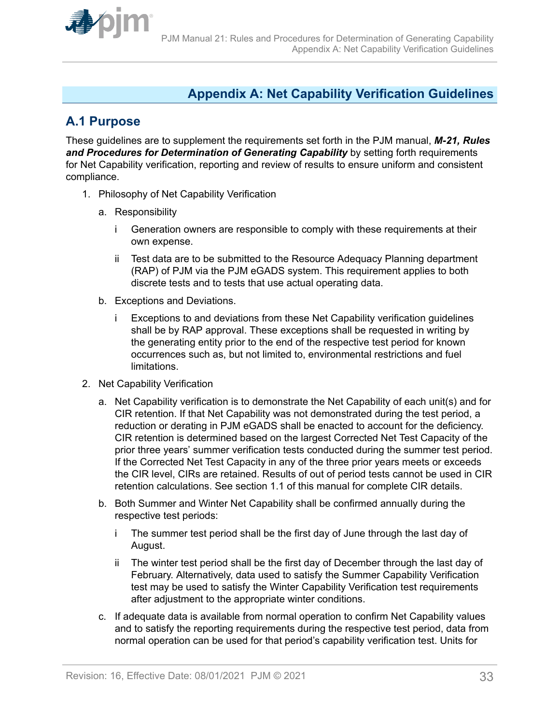<span id="page-32-0"></span>

## **Appendix A: Net Capability Verification Guidelines**

## **A.1 Purpose**

These guidelines are to supplement the requirements set forth in the PJM manual, *M-21, Rules* and Procedures for Determination of Generating Capability by setting forth requirements for Net Capability verification, reporting and review of results to ensure uniform and consistent compliance.

- 1. Philosophy of Net Capability Verification
	- a. Responsibility
		- i Generation owners are responsible to comply with these requirements at their own expense.
		- ii Test data are to be submitted to the Resource Adequacy Planning department (RAP) of PJM via the PJM eGADS system. This requirement applies to both discrete tests and to tests that use actual operating data.
	- b. Exceptions and Deviations.
		- i Exceptions to and deviations from these Net Capability verification guidelines shall be by RAP approval. These exceptions shall be requested in writing by the generating entity prior to the end of the respective test period for known occurrences such as, but not limited to, environmental restrictions and fuel limitations.
- 2. Net Capability Verification
	- a. Net Capability verification is to demonstrate the Net Capability of each unit(s) and for CIR retention. If that Net Capability was not demonstrated during the test period, a reduction or derating in PJM eGADS shall be enacted to account for the deficiency. CIR retention is determined based on the largest Corrected Net Test Capacity of the prior three years' summer verification tests conducted during the summer test period. If the Corrected Net Test Capacity in any of the three prior years meets or exceeds the CIR level, CIRs are retained. Results of out of period tests cannot be used in CIR retention calculations. See section 1.1 of this manual for complete CIR details.
	- b. Both Summer and Winter Net Capability shall be confirmed annually during the respective test periods:
		- i The summer test period shall be the first day of June through the last day of August.
		- ii The winter test period shall be the first day of December through the last day of February. Alternatively, data used to satisfy the Summer Capability Verification test may be used to satisfy the Winter Capability Verification test requirements after adjustment to the appropriate winter conditions.
	- c. If adequate data is available from normal operation to confirm Net Capability values and to satisfy the reporting requirements during the respective test period, data from normal operation can be used for that period's capability verification test. Units for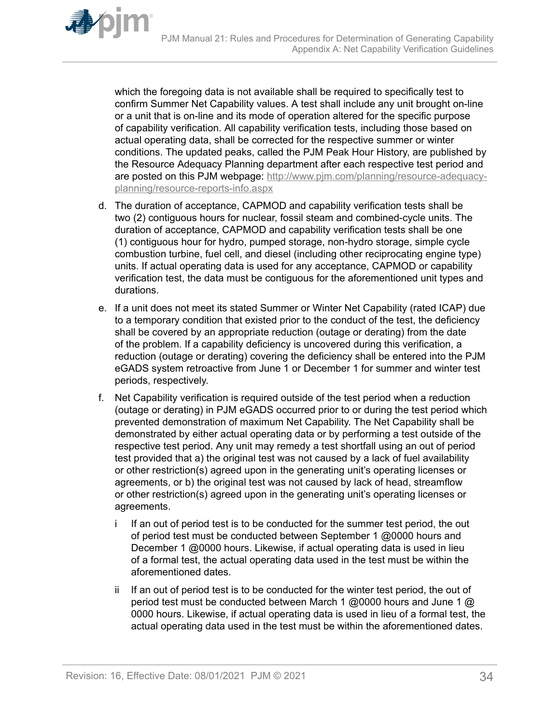which the foregoing data is not available shall be required to specifically test to confirm Summer Net Capability values. A test shall include any unit brought on-line or a unit that is on-line and its mode of operation altered for the specific purpose of capability verification. All capability verification tests, including those based on actual operating data, shall be corrected for the respective summer or winter conditions. The updated peaks, called the PJM Peak Hour History, are published by the Resource Adequacy Planning department after each respective test period and are posted on this PJM webpage: [http://www.pjm.com/planning/resource-adequacy](http://www.pjm.com/planning/resource-adequacy-planning/resource-reports-info.aspx)[planning/resource-reports-info.aspx](http://www.pjm.com/planning/resource-adequacy-planning/resource-reports-info.aspx)

- d. The duration of acceptance, CAPMOD and capability verification tests shall be two (2) contiguous hours for nuclear, fossil steam and combined-cycle units. The duration of acceptance, CAPMOD and capability verification tests shall be one (1) contiguous hour for hydro, pumped storage, non-hydro storage, simple cycle combustion turbine, fuel cell, and diesel (including other reciprocating engine type) units. If actual operating data is used for any acceptance, CAPMOD or capability verification test, the data must be contiguous for the aforementioned unit types and durations.
- e. If a unit does not meet its stated Summer or Winter Net Capability (rated ICAP) due to a temporary condition that existed prior to the conduct of the test, the deficiency shall be covered by an appropriate reduction (outage or derating) from the date of the problem. If a capability deficiency is uncovered during this verification, a reduction (outage or derating) covering the deficiency shall be entered into the PJM eGADS system retroactive from June 1 or December 1 for summer and winter test periods, respectively.
- f. Net Capability verification is required outside of the test period when a reduction (outage or derating) in PJM eGADS occurred prior to or during the test period which prevented demonstration of maximum Net Capability. The Net Capability shall be demonstrated by either actual operating data or by performing a test outside of the respective test period. Any unit may remedy a test shortfall using an out of period test provided that a) the original test was not caused by a lack of fuel availability or other restriction(s) agreed upon in the generating unit's operating licenses or agreements, or b) the original test was not caused by lack of head, streamflow or other restriction(s) agreed upon in the generating unit's operating licenses or agreements.
	- i If an out of period test is to be conducted for the summer test period, the out of period test must be conducted between September 1 @0000 hours and December 1 @0000 hours. Likewise, if actual operating data is used in lieu of a formal test, the actual operating data used in the test must be within the aforementioned dates.
	- ii If an out of period test is to be conducted for the winter test period, the out of period test must be conducted between March 1 @0000 hours and June 1 @ 0000 hours. Likewise, if actual operating data is used in lieu of a formal test, the actual operating data used in the test must be within the aforementioned dates.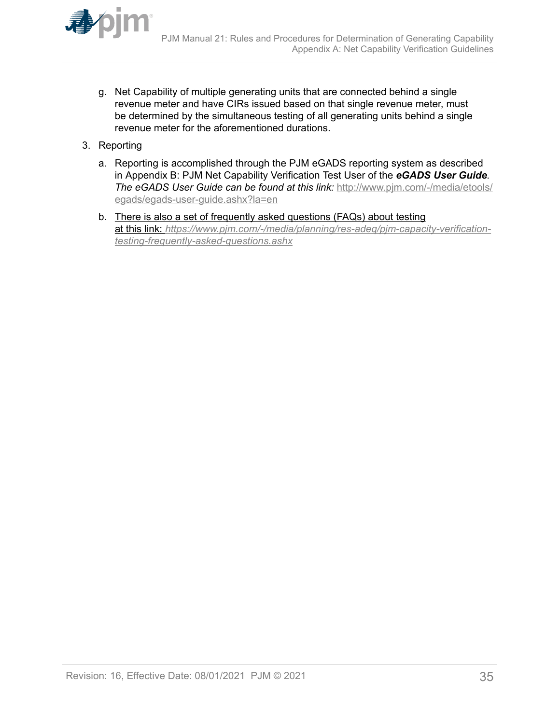

- g. Net Capability of multiple generating units that are connected behind a single revenue meter and have CIRs issued based on that single revenue meter, must be determined by the simultaneous testing of all generating units behind a single revenue meter for the aforementioned durations.
- 3. Reporting
	- a. Reporting is accomplished through the PJM eGADS reporting system as described in Appendix B: PJM Net Capability Verification Test User of the *eGADS User Guide. The eGADS User Guide can be found at this link:* [http://www.pjm.com/-/media/etools/](http://www.pjm.com/-/media/etools/egads/egads-user-guide.ashx?la=en) [egads/egads-user-guide.ashx?la=en](http://www.pjm.com/-/media/etools/egads/egads-user-guide.ashx?la=en)
	- b. There is also a set of frequently asked questions (FAQs) about testing at this link: *[https://www.pjm.com/-/media/planning/res-adeq/pjm-capacity-verification](https://www.pjm.com/-/media/planning/res-adeq/pjm-capacity-verification-testing-frequently-asked-questions.ashx)[testing-frequently-asked-questions.ashx](https://www.pjm.com/-/media/planning/res-adeq/pjm-capacity-verification-testing-frequently-asked-questions.ashx)*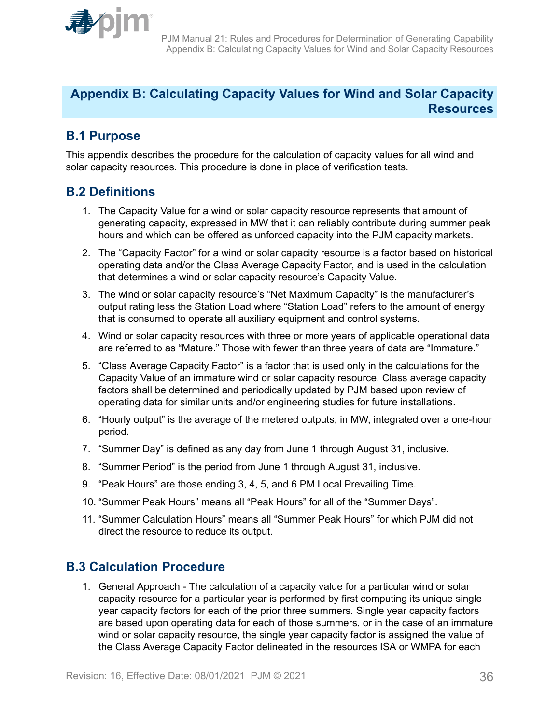<span id="page-35-0"></span>

## **Appendix B: Calculating Capacity Values for Wind and Solar Capacity Resources**

## **B.1 Purpose**

This appendix describes the procedure for the calculation of capacity values for all wind and solar capacity resources. This procedure is done in place of verification tests.

## **B.2 Definitions**

- 1. The Capacity Value for a wind or solar capacity resource represents that amount of generating capacity, expressed in MW that it can reliably contribute during summer peak hours and which can be offered as unforced capacity into the PJM capacity markets.
- 2. The "Capacity Factor" for a wind or solar capacity resource is a factor based on historical operating data and/or the Class Average Capacity Factor, and is used in the calculation that determines a wind or solar capacity resource's Capacity Value.
- 3. The wind or solar capacity resource's "Net Maximum Capacity" is the manufacturer's output rating less the Station Load where "Station Load" refers to the amount of energy that is consumed to operate all auxiliary equipment and control systems.
- 4. Wind or solar capacity resources with three or more years of applicable operational data are referred to as "Mature." Those with fewer than three years of data are "Immature."
- 5. "Class Average Capacity Factor" is a factor that is used only in the calculations for the Capacity Value of an immature wind or solar capacity resource. Class average capacity factors shall be determined and periodically updated by PJM based upon review of operating data for similar units and/or engineering studies for future installations.
- 6. "Hourly output" is the average of the metered outputs, in MW, integrated over a one-hour period.
- 7. "Summer Day" is defined as any day from June 1 through August 31, inclusive.
- 8. "Summer Period" is the period from June 1 through August 31, inclusive.
- 9. "Peak Hours" are those ending 3, 4, 5, and 6 PM Local Prevailing Time.
- 10. "Summer Peak Hours" means all "Peak Hours" for all of the "Summer Days".
- 11. "Summer Calculation Hours" means all "Summer Peak Hours" for which PJM did not direct the resource to reduce its output.

## **B.3 Calculation Procedure**

1. General Approach - The calculation of a capacity value for a particular wind or solar capacity resource for a particular year is performed by first computing its unique single year capacity factors for each of the prior three summers. Single year capacity factors are based upon operating data for each of those summers, or in the case of an immature wind or solar capacity resource, the single year capacity factor is assigned the value of the Class Average Capacity Factor delineated in the resources ISA or WMPA for each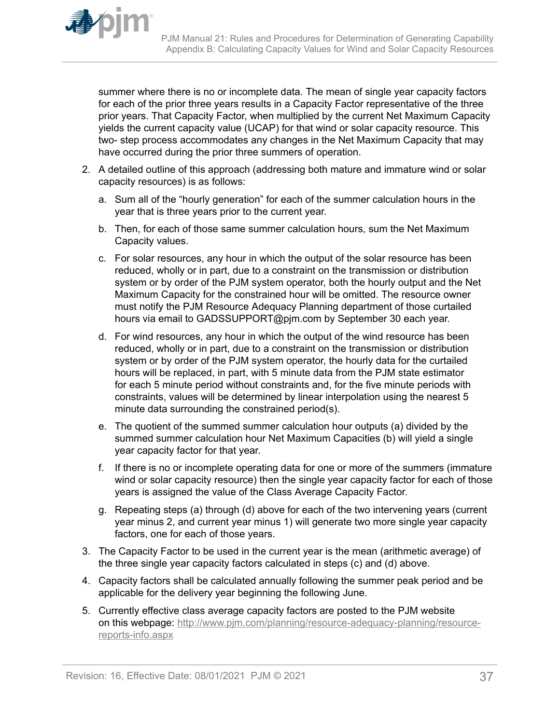

summer where there is no or incomplete data. The mean of single year capacity factors for each of the prior three years results in a Capacity Factor representative of the three prior years. That Capacity Factor, when multiplied by the current Net Maximum Capacity yields the current capacity value (UCAP) for that wind or solar capacity resource. This two- step process accommodates any changes in the Net Maximum Capacity that may have occurred during the prior three summers of operation.

- 2. A detailed outline of this approach (addressing both mature and immature wind or solar capacity resources) is as follows:
	- a. Sum all of the "hourly generation" for each of the summer calculation hours in the year that is three years prior to the current year.
	- b. Then, for each of those same summer calculation hours, sum the Net Maximum Capacity values.
	- c. For solar resources, any hour in which the output of the solar resource has been reduced, wholly or in part, due to a constraint on the transmission or distribution system or by order of the PJM system operator, both the hourly output and the Net Maximum Capacity for the constrained hour will be omitted. The resource owner must notify the PJM Resource Adequacy Planning department of those curtailed hours via email to GADSSUPPORT@pjm.com by September 30 each year.
	- d. For wind resources, any hour in which the output of the wind resource has been reduced, wholly or in part, due to a constraint on the transmission or distribution system or by order of the PJM system operator, the hourly data for the curtailed hours will be replaced, in part, with 5 minute data from the PJM state estimator for each 5 minute period without constraints and, for the five minute periods with constraints, values will be determined by linear interpolation using the nearest 5 minute data surrounding the constrained period(s).
	- e. The quotient of the summed summer calculation hour outputs (a) divided by the summed summer calculation hour Net Maximum Capacities (b) will yield a single year capacity factor for that year.
	- f. If there is no or incomplete operating data for one or more of the summers (immature wind or solar capacity resource) then the single year capacity factor for each of those years is assigned the value of the Class Average Capacity Factor.
	- g. Repeating steps (a) through (d) above for each of the two intervening years (current year minus 2, and current year minus 1) will generate two more single year capacity factors, one for each of those years.
- 3. The Capacity Factor to be used in the current year is the mean (arithmetic average) of the three single year capacity factors calculated in steps (c) and (d) above.
- 4. Capacity factors shall be calculated annually following the summer peak period and be applicable for the delivery year beginning the following June.
- 5. Currently effective class average capacity factors are posted to the PJM website on this webpage: [http://www.pjm.com/planning/resource-adequacy-planning/resource](http://www.pjm.com/planning/resource-adequacy-planning/resource-reports-info.aspx)[reports-info.aspx](http://www.pjm.com/planning/resource-adequacy-planning/resource-reports-info.aspx)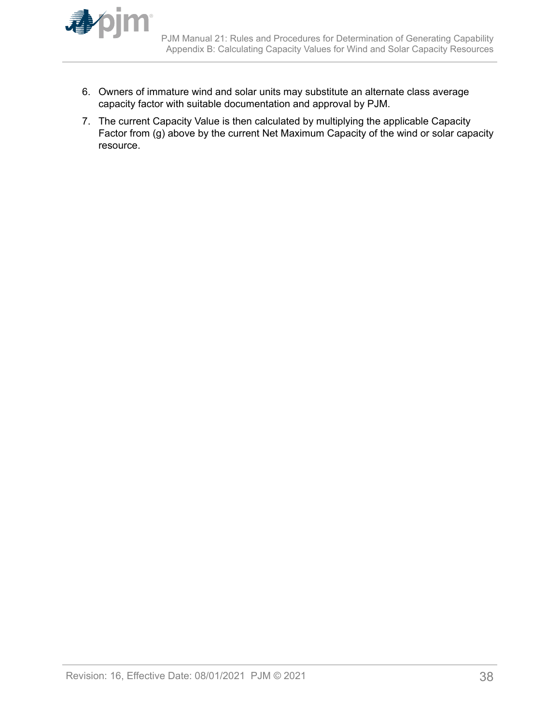

- 6. Owners of immature wind and solar units may substitute an alternate class average capacity factor with suitable documentation and approval by PJM.
- 7. The current Capacity Value is then calculated by multiplying the applicable Capacity Factor from (g) above by the current Net Maximum Capacity of the wind or solar capacity resource.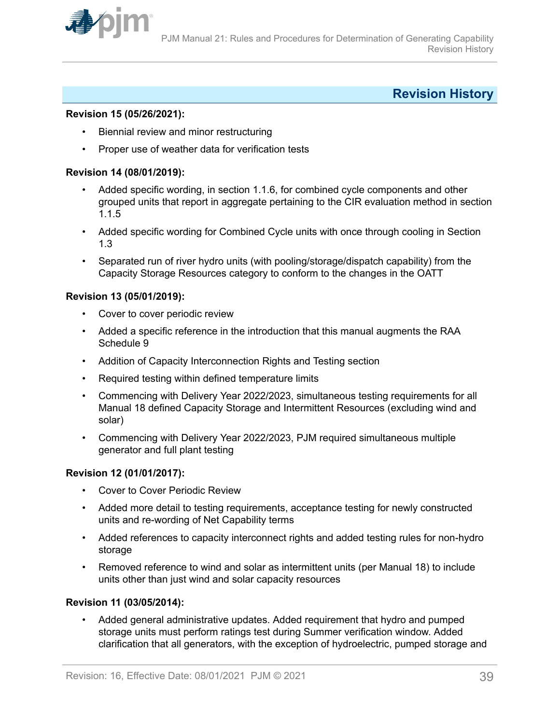<span id="page-38-0"></span>

## **Revision History**

#### **Revision 15 (05/26/2021):**

- Biennial review and minor restructuring
- Proper use of weather data for verification tests

#### **Revision 14 (08/01/2019):**

- Added specific wording, in section 1.1.6, for combined cycle components and other grouped units that report in aggregate pertaining to the CIR evaluation method in section 1.1.5
- Added specific wording for Combined Cycle units with once through cooling in Section 1.3
- Separated run of river hydro units (with pooling/storage/dispatch capability) from the Capacity Storage Resources category to conform to the changes in the OATT

#### **Revision 13 (05/01/2019):**

- Cover to cover periodic review
- Added a specific reference in the introduction that this manual augments the RAA Schedule 9
- Addition of Capacity Interconnection Rights and Testing section
- Required testing within defined temperature limits
- Commencing with Delivery Year 2022/2023, simultaneous testing requirements for all Manual 18 defined Capacity Storage and Intermittent Resources (excluding wind and solar)
- Commencing with Delivery Year 2022/2023, PJM required simultaneous multiple generator and full plant testing

#### **Revision 12 (01/01/2017):**

- Cover to Cover Periodic Review
- Added more detail to testing requirements, acceptance testing for newly constructed units and re-wording of Net Capability terms
- Added references to capacity interconnect rights and added testing rules for non-hydro storage
- Removed reference to wind and solar as intermittent units (per Manual 18) to include units other than just wind and solar capacity resources

#### **Revision 11 (03/05/2014):**

• Added general administrative updates. Added requirement that hydro and pumped storage units must perform ratings test during Summer verification window. Added clarification that all generators, with the exception of hydroelectric, pumped storage and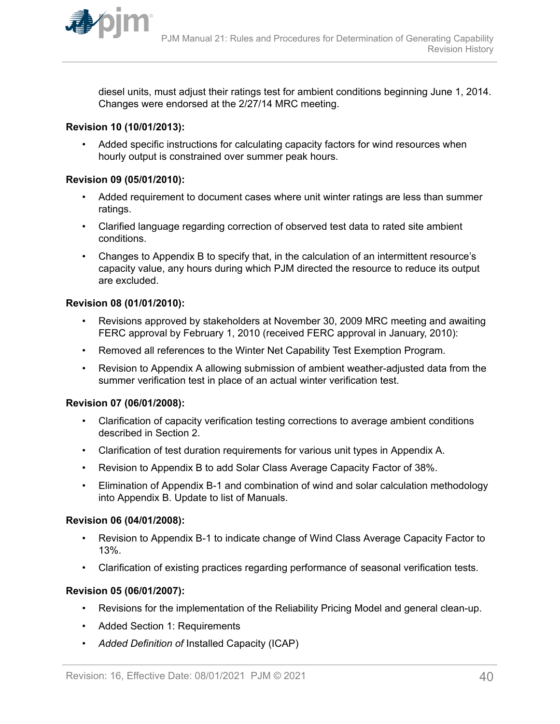

diesel units, must adjust their ratings test for ambient conditions beginning June 1, 2014. Changes were endorsed at the 2/27/14 MRC meeting.

### **Revision 10 (10/01/2013):**

• Added specific instructions for calculating capacity factors for wind resources when hourly output is constrained over summer peak hours.

### **Revision 09 (05/01/2010):**

- Added requirement to document cases where unit winter ratings are less than summer ratings.
- Clarified language regarding correction of observed test data to rated site ambient conditions.
- Changes to Appendix B to specify that, in the calculation of an intermittent resource's capacity value, any hours during which PJM directed the resource to reduce its output are excluded.

### **Revision 08 (01/01/2010):**

- Revisions approved by stakeholders at November 30, 2009 MRC meeting and awaiting FERC approval by February 1, 2010 (received FERC approval in January, 2010):
- Removed all references to the Winter Net Capability Test Exemption Program.
- Revision to Appendix A allowing submission of ambient weather-adjusted data from the summer verification test in place of an actual winter verification test.

#### **Revision 07 (06/01/2008):**

- Clarification of capacity verification testing corrections to average ambient conditions described in Section 2.
- Clarification of test duration requirements for various unit types in Appendix A.
- Revision to Appendix B to add Solar Class Average Capacity Factor of 38%.
- Elimination of Appendix B-1 and combination of wind and solar calculation methodology into Appendix B. Update to list of Manuals.

#### **Revision 06 (04/01/2008):**

- Revision to Appendix B-1 to indicate change of Wind Class Average Capacity Factor to 13%.
- Clarification of existing practices regarding performance of seasonal verification tests.

#### **Revision 05 (06/01/2007):**

- Revisions for the implementation of the Reliability Pricing Model and general clean-up.
- Added Section 1: Requirements
- *Added Definition of* Installed Capacity (ICAP)